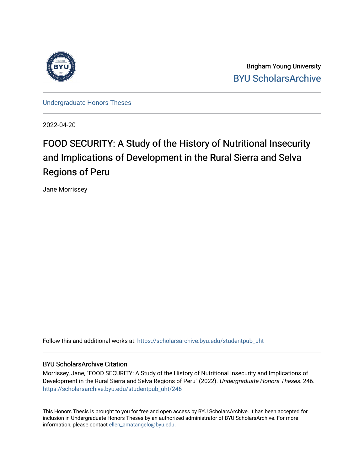

Brigham Young University [BYU ScholarsArchive](https://scholarsarchive.byu.edu/) 

[Undergraduate Honors Theses](https://scholarsarchive.byu.edu/studentpub_uht) 

2022-04-20

# FOOD SECURITY: A Study of the History of Nutritional Insecurity and Implications of Development in the Rural Sierra and Selva Regions of Peru

Jane Morrissey

Follow this and additional works at: [https://scholarsarchive.byu.edu/studentpub\\_uht](https://scholarsarchive.byu.edu/studentpub_uht?utm_source=scholarsarchive.byu.edu%2Fstudentpub_uht%2F246&utm_medium=PDF&utm_campaign=PDFCoverPages) 

#### BYU ScholarsArchive Citation

Morrissey, Jane, "FOOD SECURITY: A Study of the History of Nutritional Insecurity and Implications of Development in the Rural Sierra and Selva Regions of Peru" (2022). Undergraduate Honors Theses. 246. [https://scholarsarchive.byu.edu/studentpub\\_uht/246](https://scholarsarchive.byu.edu/studentpub_uht/246?utm_source=scholarsarchive.byu.edu%2Fstudentpub_uht%2F246&utm_medium=PDF&utm_campaign=PDFCoverPages)

This Honors Thesis is brought to you for free and open access by BYU ScholarsArchive. It has been accepted for inclusion in Undergraduate Honors Theses by an authorized administrator of BYU ScholarsArchive. For more information, please contact [ellen\\_amatangelo@byu.edu.](mailto:ellen_amatangelo@byu.edu)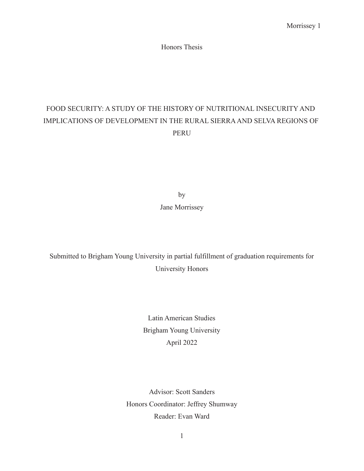Honors Thesis

# FOOD SECURITY: A STUDY OF THE HISTORY OF NUTRITIONAL INSECURITY AND IMPLICATIONS OF DEVELOPMENT IN THE RURAL SIERRA AND SELVA REGIONS OF PERU

by Jane Morrissey

Submitted to Brigham Young University in partial fulfillment of graduation requirements for University Honors

> Latin American Studies Brigham Young University April 2022

Advisor: Scott Sanders Honors Coordinator: Jeffrey Shumway Reader: Evan Ward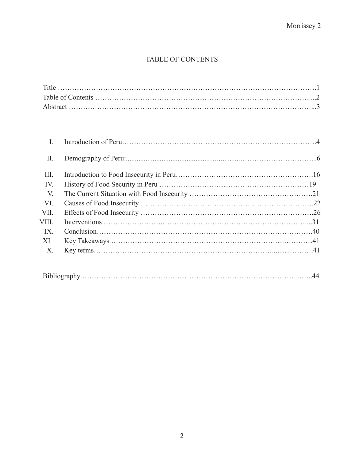# TABLE OF CONTENTS

| $\prod$     |  |
|-------------|--|
| III.        |  |
| IV.         |  |
| V.          |  |
| VI.         |  |
| VII.        |  |
| VIII.       |  |
| IX.         |  |
| -XI         |  |
| $X_{\cdot}$ |  |

|--|--|--|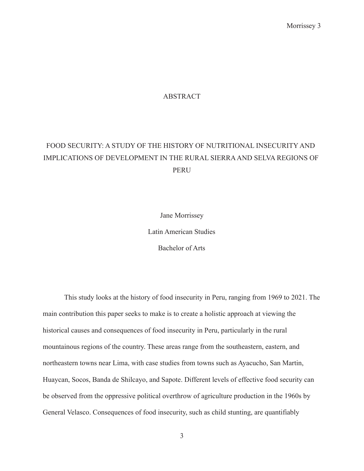#### ABSTRACT

# FOOD SECURITY: A STUDY OF THE HISTORY OF NUTRITIONAL INSECURITY AND IMPLICATIONS OF DEVELOPMENT IN THE RURAL SIERRA AND SELVA REGIONS OF PERU

Jane Morrissey Latin American Studies Bachelor of Arts

This study looks at the history of food insecurity in Peru, ranging from 1969 to 2021. The main contribution this paper seeks to make is to create a holistic approach at viewing the historical causes and consequences of food insecurity in Peru, particularly in the rural mountainous regions of the country. These areas range from the southeastern, eastern, and northeastern towns near Lima, with case studies from towns such as Ayacucho, San Martin, Huaycan, Socos, Banda de Shilcayo, and Sapote. Different levels of effective food security can be observed from the oppressive political overthrow of agriculture production in the 1960s by General Velasco. Consequences of food insecurity, such as child stunting, are quantifiably

3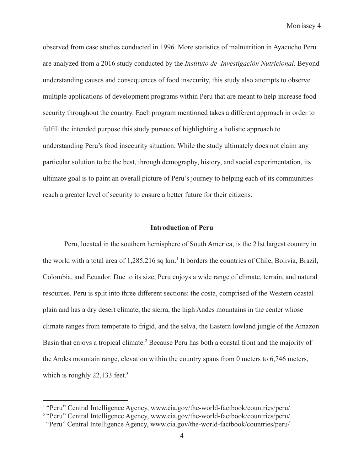observed from case studies conducted in 1996. More statistics of malnutrition in Ayacucho Peru are analyzed from a 2016 study conducted by the *Instituto de Investigación Nutricional*. Beyond understanding causes and consequences of food insecurity, this study also attempts to observe multiple applications of development programs within Peru that are meant to help increase food security throughout the country. Each program mentioned takes a different approach in order to fulfill the intended purpose this study pursues of highlighting a holistic approach to understanding Peru's food insecurity situation. While the study ultimately does not claim any particular solution to be the best, through demography, history, and social experimentation, its ultimate goal is to paint an overall picture of Peru's journey to helping each of its communities reach a greater level of security to ensure a better future for their citizens.

#### **Introduction of Peru**

Peru, located in the southern hemisphere of South America, is the 21st largest country in the world with a total area of 1,285,216 sq km.<sup>1</sup> It borders the countries of Chile, Bolivia, Brazil, Colombia, and Ecuador. Due to its size, Peru enjoys a wide range of climate, terrain, and natural resources. Peru is split into three different sections: the costa, comprised of the Western coastal plain and has a dry desert climate, the sierra, the high Andes mountains in the center whose climate ranges from temperate to frigid, and the selva, the Eastern lowland jungle of the Amazon Basin that enjoys a tropical climate.<sup>2</sup> Because Peru has both a coastal front and the majority of the Andes mountain range, elevation within the country spans from 0 meters to 6,746 meters, which is roughly  $22,133$  feet.<sup>3</sup>

<sup>1</sup> "Peru" Central Intelligence Agency, www.cia.gov/the-world-factbook/countries/peru/

<sup>2</sup> "Peru" Central Intelligence Agency, www.cia.gov/the-world-factbook/countries/peru/

<sup>&</sup>lt;sup>3</sup> "Peru" Central Intelligence Agency, www.cia.gov/the-world-factbook/countries/peru/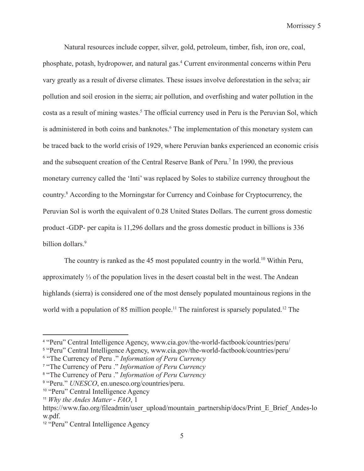Natural resources include copper, silver, gold, petroleum, timber, fish, iron ore, coal, phosphate, potash, hydropower, and natural gas.4 Current environmental concerns within Peru vary greatly as a result of diverse climates. These issues involve deforestation in the selva; air pollution and soil erosion in the sierra; air pollution, and overfishing and water pollution in the costa as a result of mining wastes.<sup>5</sup> The official currency used in Peru is the Peruvian Sol, which is administered in both coins and banknotes.<sup>6</sup> The implementation of this monetary system can be traced back to the world crisis of 1929, where Peruvian banks experienced an economic crisis and the subsequent creation of the Central Reserve Bank of Peru.<sup>7</sup> In 1990, the previous monetary currency called the 'Inti' was replaced by Soles to stabilize currency throughout the country.8 According to the Morningstar for Currency and Coinbase for Cryptocurrency, the Peruvian Sol is worth the equivalent of 0.28 United States Dollars. The current gross domestic product -GDP- per capita is 11,296 dollars and the gross domestic product in billions is 336 billion dollars.<sup>9</sup>

The country is ranked as the 45 most populated country in the world.<sup>10</sup> Within Peru, approximately ⅓ of the population lives in the desert coastal belt in the west. The Andean highlands (sierra) is considered one of the most densely populated mountainous regions in the world with a population of 85 million people.<sup>11</sup> The rainforest is sparsely populated.<sup>12</sup> The

<sup>4</sup> "Peru" Central Intelligence Agency, www.cia.gov/the-world-factbook/countries/peru/

<sup>5</sup> "Peru" Central Intelligence Agency, www.cia.gov/the-world-factbook/countries/peru/

<sup>6</sup> "The Currency of Peru ." *Information of Peru Currency*

<sup>7</sup> "The Currency of Peru ." *Information of Peru Currency*

<sup>8</sup> "The Currency of Peru ." *Information of Peru Currency*

<sup>9</sup> "Peru." *UNESCO*, en.unesco.org/countries/peru.

<sup>10</sup> "Peru" Central Intelligence Agency

<sup>11</sup> *Why the Andes Matter - FAO*, 1

https://www.fao.org/fileadmin/user\_upload/mountain\_partnership/docs/Print\_E\_Brief\_Andes-lo w.pdf.

<sup>12</sup> "Peru" Central Intelligence Agency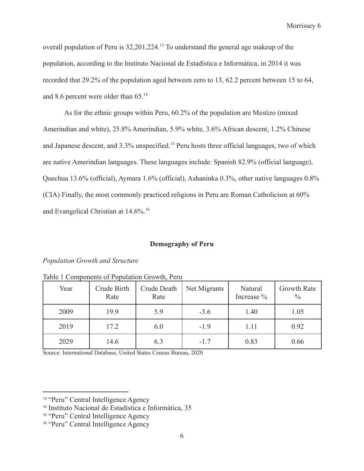overall population of Peru is 32,201,224.13 To understand the general age makeup of the population, according to the Instituto Nacional de Estadística e Informática, in 2014 it was recorded that 29.2% of the population aged between zero to 13, 62.2 percent between 15 to 64, and 8.6 percent were older than 65.14

As for the ethnic groups within Peru, 60.2% of the population are Mestizo (mixed Amerindian and white), 25.8% Amerindian, 5.9% white, 3.6% African descent, 1.2% Chinese and Japanese descent, and 3.3% unspecified.<sup>15</sup> Peru hosts three official languages, two of which are native Amerindian languages. These languages include: Spanish 82.9% (official language), Quechua 13.6% (official), Aymara 1.6% (official), Ashaninka 0.3%, other native languages 0.8% (CIA) Finally, the most commonly practiced religions in Peru are Roman Catholicism at 60% and Evangelical Christian at 14.6%.16

#### **Demography of Peru**

#### *Population Growth and Structure*

| Year | Crude Birth<br>Rate | Crude Death<br>Rate | Net Migrants | Natural<br>Increase % | Growth Rate<br>$\frac{0}{0}$ |
|------|---------------------|---------------------|--------------|-----------------------|------------------------------|
| 2009 | 19.9                | 5.9                 | $-3.6$       | 1.40                  | 1.05                         |
| 2019 | 17.2                | 6.0                 | $-1.9$       | 1.11                  | 0.92                         |
| 2029 | 14.6                | 6.3                 | $-1.7$       | 0.83                  | 0.66                         |

Table 1 Components of Population Growth, Peru

Source: International Database, United States Census Bureau, 2020

<sup>13</sup> "Peru" Central Intelligence Agency

<sup>14</sup> Instituto Nacional de Estadística e Informática, 35

<sup>15</sup> "Peru" Central Intelligence Agency

<sup>16</sup> "Peru" Central Intelligence Agency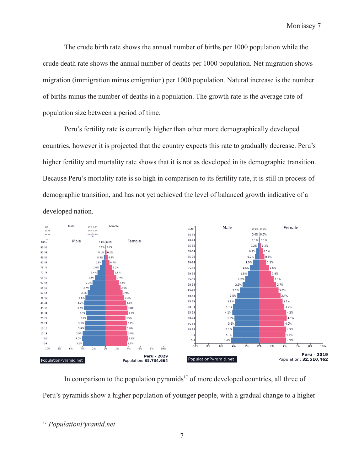The crude birth rate shows the annual number of births per 1000 population while the crude death rate shows the annual number of deaths per 1000 population. Net migration shows migration (immigration minus emigration) per 1000 population. Natural increase is the number of births minus the number of deaths in a population. The growth rate is the average rate of population size between a period of time.

Peru's fertility rate is currently higher than other more demographically developed countries, however it is projected that the country expects this rate to gradually decrease. Peru's higher fertility and mortality rate shows that it is not as developed in its demographic transition. Because Peru's mortality rate is so high in comparison to its fertility rate, it is still in process of demographic transition, and has not yet achieved the level of balanced growth indicative of a developed nation.



In comparison to the population pyramids<sup>17</sup> of more developed countries, all three of Peru's pyramids show a higher population of younger people, with a gradual change to a higher

<sup>17</sup> *PopulationPyramid.net*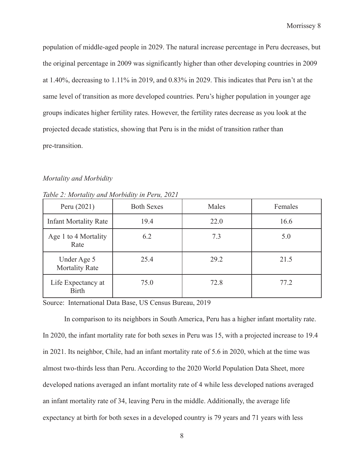population of middle-aged people in 2029. The natural increase percentage in Peru decreases, but the original percentage in 2009 was significantly higher than other developing countries in 2009 at 1.40%, decreasing to 1.11% in 2019, and 0.83% in 2029. This indicates that Peru isn't at the same level of transition as more developed countries. Peru's higher population in younger age groups indicates higher fertility rates. However, the fertility rates decrease as you look at the projected decade statistics, showing that Peru is in the midst of transition rather than pre-transition.

#### *Mortality and Morbidity*

| Peru (2021)                          | <b>Both Sexes</b> | Males | Females |
|--------------------------------------|-------------------|-------|---------|
| <b>Infant Mortality Rate</b>         | 19.4              | 22.0  | 16.6    |
| Age 1 to 4 Mortality<br>Rate         | 6.2               | 7.3   | 5.0     |
| Under Age 5<br><b>Mortality Rate</b> | 25.4              | 29.2  | 21.5    |
| Life Expectancy at<br><b>Birth</b>   | 75.0              | 72.8  | 77.2    |

*Table 2: Mortality and Morbidity in Peru, 2021*

Source: International Data Base, US Census Bureau, 2019

In comparison to its neighbors in South America, Peru has a higher infant mortality rate. In 2020, the infant mortality rate for both sexes in Peru was 15, with a projected increase to 19.4 in 2021. Its neighbor, Chile, had an infant mortality rate of 5.6 in 2020, which at the time was almost two-thirds less than Peru. According to the 2020 World Population Data Sheet, more developed nations averaged an infant mortality rate of 4 while less developed nations averaged an infant mortality rate of 34, leaving Peru in the middle. Additionally, the average life expectancy at birth for both sexes in a developed country is 79 years and 71 years with less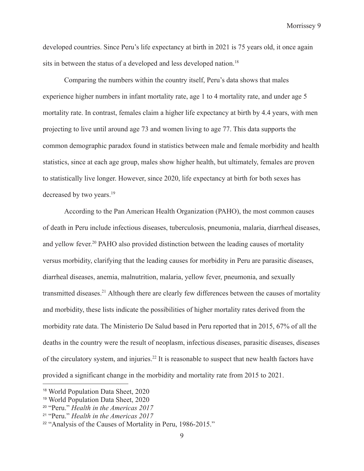developed countries. Since Peru's life expectancy at birth in 2021 is 75 years old, it once again sits in between the status of a developed and less developed nation.<sup>18</sup>

Comparing the numbers within the country itself, Peru's data shows that males experience higher numbers in infant mortality rate, age 1 to 4 mortality rate, and under age 5 mortality rate. In contrast, females claim a higher life expectancy at birth by 4.4 years, with men projecting to live until around age 73 and women living to age 77. This data supports the common demographic paradox found in statistics between male and female morbidity and health statistics, since at each age group, males show higher health, but ultimately, females are proven to statistically live longer. However, since 2020, life expectancy at birth for both sexes has decreased by two years.<sup>19</sup>

According to the Pan American Health Organization (PAHO), the most common causes of death in Peru include infectious diseases, tuberculosis, pneumonia, malaria, diarrheal diseases, and yellow fever.<sup>20</sup> PAHO also provided distinction between the leading causes of mortality versus morbidity, clarifying that the leading causes for morbidity in Peru are parasitic diseases, diarrheal diseases, anemia, malnutrition, malaria, yellow fever, pneumonia, and sexually transmitted diseases.21 Although there are clearly few differences between the causes of mortality and morbidity, these lists indicate the possibilities of higher mortality rates derived from the morbidity rate data. The Ministerio De Salud based in Peru reported that in 2015, 67% of all the deaths in the country were the result of neoplasm, infectious diseases, parasitic diseases, diseases of the circulatory system, and injuries.<sup>22</sup> It is reasonable to suspect that new health factors have provided a significant change in the morbidity and mortality rate from 2015 to 2021.

<sup>18</sup> World Population Data Sheet, 2020

<sup>19</sup> World Population Data Sheet, 2020

<sup>20</sup> "Peru." *Health in the Americas 2017*

<sup>21</sup> "Peru." *Health in the Americas 2017*

<sup>&</sup>lt;sup>22</sup> "Analysis of the Causes of Mortality in Peru, 1986-2015."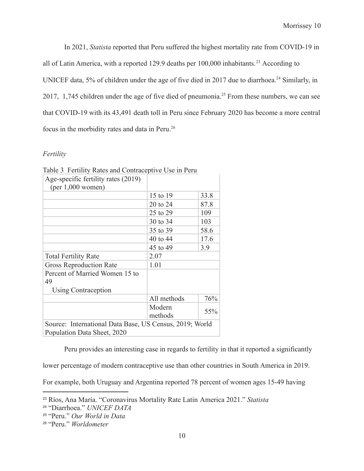In 2021, *Statista* reported that Peru suffered the highest mortality rate from COVID-19 in all of Latin America, with a reported 129.9 deaths per  $100,000$  inhabitants.<sup>23</sup> According to UNICEF data, 5% of children under the age of five died in 2017 due to diarrhoea.<sup>24</sup> Similarly, in 2017, 1,745 children under the age of five died of pneumonia.<sup>25</sup> From these numbers, we can see that COVID-19 with its 43,491 death toll in Peru since February 2020 has become a more central focus in the morbidity rates and data in Peru.26

### *Fertility*

| Table 5 T Chinty Kates and Contraceptive OSC in I City<br>Age-specific fertility rates (2019)<br>$(per 1,000$ women) |                   |      |  |
|----------------------------------------------------------------------------------------------------------------------|-------------------|------|--|
|                                                                                                                      | 15 to 19          | 33.8 |  |
|                                                                                                                      | 20 to 24          | 87.8 |  |
|                                                                                                                      | 25 to 29          | 109  |  |
|                                                                                                                      | 30 to 34          | 103  |  |
|                                                                                                                      | 35 to 39          | 58.6 |  |
|                                                                                                                      | 40 to 44          | 17.6 |  |
|                                                                                                                      | 45 to 49          | 3.9  |  |
| <b>Total Fertility Rate</b>                                                                                          | 2.07              |      |  |
| <b>Gross Reproduction Rate</b>                                                                                       | 1.01              |      |  |
| Percent of Married Women 15 to<br>49                                                                                 |                   |      |  |
| Using Contraception                                                                                                  |                   |      |  |
|                                                                                                                      | All methods       | 76%  |  |
|                                                                                                                      | Modern<br>methods | 55%  |  |
| Source: International Data Base, US Census, 2019; World<br>Population Data Sheet, 2020                               |                   |      |  |

Table 3 Fertility Rates and Contraceptive Use in Peru

Peru provides an interesting case in regards to fertility in that it reported a significantly

lower percentage of modern contraceptive use than other countries in South America in 2019.

For example, both Uruguay and Argentina reported 78 percent of women ages 15-49 having

<sup>23</sup> Ríos, Ana María. "Coronavirus Mortality Rate Latin America 2021." *Statista*

<sup>24</sup> "Diarrhoea." *UNICEF DATA*

<sup>25</sup> "Peru." *Our World in Data*

<sup>26</sup> "Peru." *Worldometer*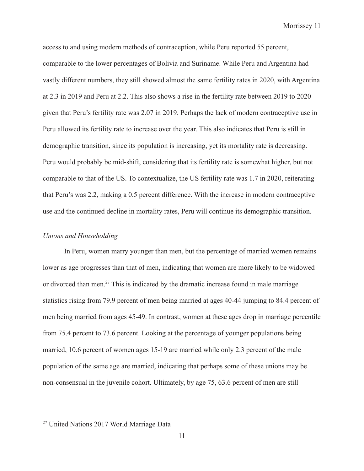access to and using modern methods of contraception, while Peru reported 55 percent, comparable to the lower percentages of Bolivia and Suriname. While Peru and Argentina had vastly different numbers, they still showed almost the same fertility rates in 2020, with Argentina at 2.3 in 2019 and Peru at 2.2. This also shows a rise in the fertility rate between 2019 to 2020 given that Peru's fertility rate was 2.07 in 2019. Perhaps the lack of modern contraceptive use in Peru allowed its fertility rate to increase over the year. This also indicates that Peru is still in demographic transition, since its population is increasing, yet its mortality rate is decreasing. Peru would probably be mid-shift, considering that its fertility rate is somewhat higher, but not comparable to that of the US. To contextualize, the US fertility rate was 1.7 in 2020, reiterating that Peru's was 2.2, making a 0.5 percent difference. With the increase in modern contraceptive use and the continued decline in mortality rates, Peru will continue its demographic transition.

### *Unions and Householding*

In Peru, women marry younger than men, but the percentage of married women remains lower as age progresses than that of men, indicating that women are more likely to be widowed or divorced than men.<sup>27</sup> This is indicated by the dramatic increase found in male marriage statistics rising from 79.9 percent of men being married at ages 40-44 jumping to 84.4 percent of men being married from ages 45-49. In contrast, women at these ages drop in marriage percentile from 75.4 percent to 73.6 percent. Looking at the percentage of younger populations being married, 10.6 percent of women ages 15-19 are married while only 2.3 percent of the male population of the same age are married, indicating that perhaps some of these unions may be non-consensual in the juvenile cohort. Ultimately, by age 75, 63.6 percent of men are still

<sup>27</sup> United Nations 2017 World Marriage Data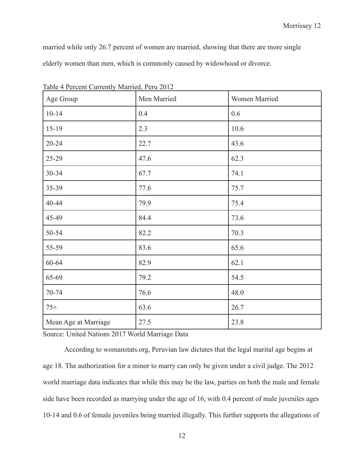married while only 26.7 percent of women are married, showing that there are more single elderly women than men, which is commonly caused by widowhood or divorce.

| Age Group            | Men Married | Women Married |
|----------------------|-------------|---------------|
| $10 - 14$            | 0.4         | 0.6           |
| 15-19                | 2.3         | 10.6          |
| $20 - 24$            | 22.7        | 43.6          |
| 25-29                | 47.6        | 62.3          |
| 30-34                | 67.7        | 74.1          |
| 35-39                | 77.6        | 75.7          |
| 40-44                | 79.9        | 75.4          |
| 45-49                | 84.4        | 73.6          |
| 50-54                | 82.2        | 70.3          |
| 55-59                | 83.6        | 65.6          |
| 60-64                | 82.9        | 62.1          |
| 65-69                | 79.2        | 54.5          |
| 70-74                | 76.6        | 48.0          |
| $75+$                | 63.6        | 26.7          |
| Mean Age at Marriage | 27.5        | 23.8          |

Table 4 Percent Currently Married, Peru 2012

Source: United Nations 2017 World Marriage Data

According to womanstats.org, Peruvian law dictates that the legal marital age begins at age 18. The authorization for a minor to marry can only be given under a civil judge. The 2012 world marriage data indicates that while this may be the law, parties on both the male and female side have been recorded as marrying under the age of 16, with 0.4 percent of male juveniles ages 10-14 and 0.6 of female juveniles being married illegally. This further supports the allegations of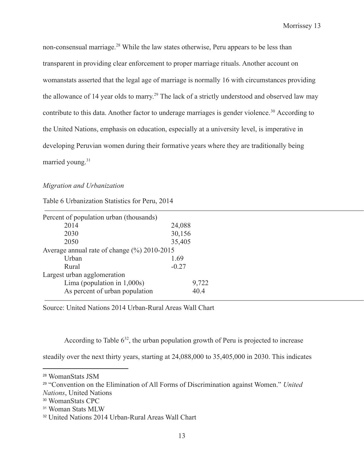non-consensual marriage.28 While the law states otherwise, Peru appears to be less than transparent in providing clear enforcement to proper marriage rituals. Another account on womanstats asserted that the legal age of marriage is normally 16 with circumstances providing the allowance of 14 year olds to marry.<sup>29</sup> The lack of a strictly understood and observed law may contribute to this data. Another factor to underage marriages is gender violence.<sup>30</sup> According to the United Nations, emphasis on education, especially at a university level, is imperative in developing Peruvian women during their formative years where they are traditionally being married young.<sup>31</sup>

#### *Migration and Urbanization*

Table 6 Urbanization Statistics for Peru, 2014

| Percent of population urban (thousands)     |         |  |
|---------------------------------------------|---------|--|
| 2014                                        | 24,088  |  |
| 2030                                        | 30,156  |  |
| 2050                                        | 35,405  |  |
| Average annual rate of change (%) 2010-2015 |         |  |
| Urban                                       | 1.69    |  |
| Rural                                       | $-0.27$ |  |
| Largest urban agglomeration                 |         |  |
| Lima (population in $1,000s$ )              | 9,722   |  |
| As percent of urban population              | 40.4    |  |

Source: United Nations 2014 Urban-Rural Areas Wall Chart

According to Table  $6^{32}$ , the urban population growth of Peru is projected to increase

steadily over the next thirty years, starting at 24,088,000 to 35,405,000 in 2030. This indicates

<sup>28</sup> WomanStats JSM

<sup>29</sup> "Convention on the Elimination of All Forms of Discrimination against Women." *United Nations*, United Nations

<sup>30</sup> WomanStats CPC

<sup>31</sup> Woman Stats MLW

<sup>32</sup> United Nations 2014 Urban-Rural Areas Wall Chart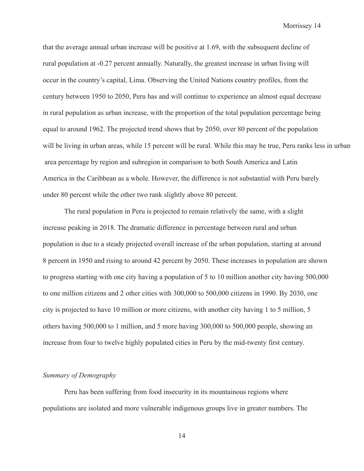that the average annual urban increase will be positive at 1.69, with the subsequent decline of rural population at -0.27 percent annually. Naturally, the greatest increase in urban living will occur in the country's capital, Lima. Observing the United Nations country profiles, from the century between 1950 to 2050, Peru has and will continue to experience an almost equal decrease in rural population as urban increase, with the proportion of the total population percentage being equal to around 1962. The projected trend shows that by 2050, over 80 percent of the population will be living in urban areas, while 15 percent will be rural. While this may be true, Peru ranks less in urban area percentage by region and subregion in comparison to both South America and Latin America in the Caribbean as a whole. However, the difference is not substantial with Peru barely under 80 percent while the other two rank slightly above 80 percent.

The rural population in Peru is projected to remain relatively the same, with a slight increase peaking in 2018. The dramatic difference in percentage between rural and urban population is due to a steady projected overall increase of the urban population, starting at around 8 percent in 1950 and rising to around 42 percent by 2050. These increases in population are shown to progress starting with one city having a population of 5 to 10 million another city having 500,000 to one million citizens and 2 other cities with 300,000 to 500,000 citizens in 1990. By 2030, one city is projected to have 10 million or more citizens, with another city having 1 to 5 million, 5 others having 500,000 to 1 million, and 5 more having 300,000 to 500,000 people, showing an increase from four to twelve highly populated cities in Peru by the mid-twenty first century.

#### *Summary of Demography*

Peru has been suffering from food insecurity in its mountainous regions where populations are isolated and more vulnerable indigenous groups live in greater numbers. The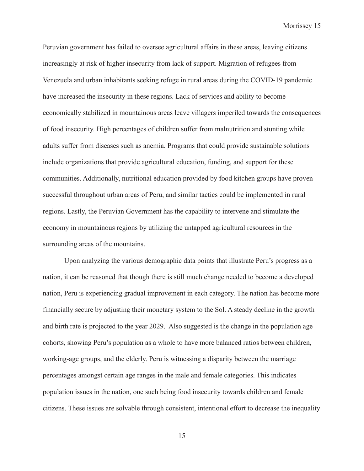Peruvian government has failed to oversee agricultural affairs in these areas, leaving citizens increasingly at risk of higher insecurity from lack of support. Migration of refugees from Venezuela and urban inhabitants seeking refuge in rural areas during the COVID-19 pandemic have increased the insecurity in these regions. Lack of services and ability to become economically stabilized in mountainous areas leave villagers imperiled towards the consequences of food insecurity. High percentages of children suffer from malnutrition and stunting while adults suffer from diseases such as anemia. Programs that could provide sustainable solutions include organizations that provide agricultural education, funding, and support for these communities. Additionally, nutritional education provided by food kitchen groups have proven successful throughout urban areas of Peru, and similar tactics could be implemented in rural regions. Lastly, the Peruvian Government has the capability to intervene and stimulate the economy in mountainous regions by utilizing the untapped agricultural resources in the surrounding areas of the mountains.

Upon analyzing the various demographic data points that illustrate Peru's progress as a nation, it can be reasoned that though there is still much change needed to become a developed nation, Peru is experiencing gradual improvement in each category. The nation has become more financially secure by adjusting their monetary system to the Sol. A steady decline in the growth and birth rate is projected to the year 2029. Also suggested is the change in the population age cohorts, showing Peru's population as a whole to have more balanced ratios between children, working-age groups, and the elderly. Peru is witnessing a disparity between the marriage percentages amongst certain age ranges in the male and female categories. This indicates population issues in the nation, one such being food insecurity towards children and female citizens. These issues are solvable through consistent, intentional effort to decrease the inequality

15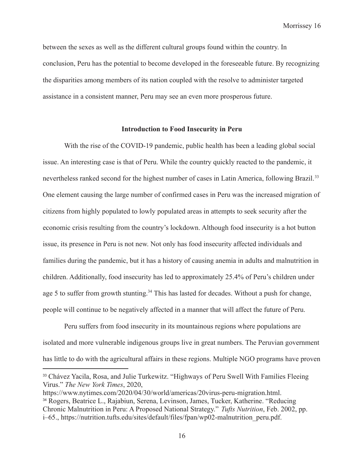between the sexes as well as the different cultural groups found within the country. In conclusion, Peru has the potential to become developed in the foreseeable future. By recognizing the disparities among members of its nation coupled with the resolve to administer targeted assistance in a consistent manner, Peru may see an even more prosperous future.

#### **Introduction to Food Insecurity in Peru**

With the rise of the COVID-19 pandemic, public health has been a leading global social issue. An interesting case is that of Peru. While the country quickly reacted to the pandemic, it nevertheless ranked second for the highest number of cases in Latin America, following Brazil.<sup>33</sup> One element causing the large number of confirmed cases in Peru was the increased migration of citizens from highly populated to lowly populated areas in attempts to seek security after the economic crisis resulting from the country's lockdown. Although food insecurity is a hot button issue, its presence in Peru is not new. Not only has food insecurity affected individuals and families during the pandemic, but it has a history of causing anemia in adults and malnutrition in children. Additionally, food insecurity has led to approximately 25.4% of Peru's children under age 5 to suffer from growth stunting.<sup>34</sup> This has lasted for decades. Without a push for change, people will continue to be negatively affected in a manner that will affect the future of Peru.

Peru suffers from food insecurity in its mountainous regions where populations are isolated and more vulnerable indigenous groups live in great numbers. The Peruvian government has little to do with the agricultural affairs in these regions. Multiple NGO programs have proven

<sup>&</sup>lt;sup>33</sup> Chávez Yacila, Rosa, and Julie Turkewitz. "Highways of Peru Swell With Families Fleeing Virus." *The New York Times*, 2020,

<sup>34</sup> Rogers, Beatrice L., Rajabiun, Serena, Levinson, James, Tucker, Katherine. "Reducing Chronic Malnutrition in Peru: A Proposed National Strategy." *Tufts Nutrition*, Feb. 2002, pp. i–65., https://nutrition.tufts.edu/sites/default/files/fpan/wp02-malnutrition\_peru.pdf. https://www.nytimes.com/2020/04/30/world/americas/20virus-peru-migration.html.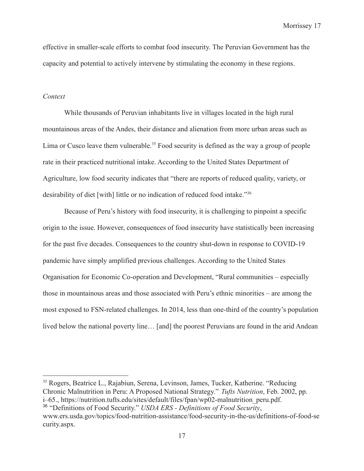effective in smaller-scale efforts to combat food insecurity. The Peruvian Government has the capacity and potential to actively intervene by stimulating the economy in these regions.

#### *Context*

While thousands of Peruvian inhabitants live in villages located in the high rural mountainous areas of the Andes, their distance and alienation from more urban areas such as Lima or Cusco leave them vulnerable.<sup>35</sup> Food security is defined as the way a group of people rate in their practiced nutritional intake. According to the United States Department of Agriculture, low food security indicates that "there are reports of reduced quality, variety, or desirability of diet [with] little or no indication of reduced food intake."36

Because of Peru's history with food insecurity, it is challenging to pinpoint a specific origin to the issue. However, consequences of food insecurity have statistically been increasing for the past five decades. Consequences to the country shut-down in response to COVID-19 pandemic have simply amplified previous challenges. According to the United States Organisation for Economic Co-operation and Development, "Rural communities – especially those in mountainous areas and those associated with Peru's ethnic minorities – are among the most exposed to FSN-related challenges. In 2014, less than one-third of the country's population lived below the national poverty line… [and] the poorest Peruvians are found in the arid Andean

<sup>36</sup> "Definitions of Food Security." *USDA ERS - Definitions of Food Security*, www.ers.usda.gov/topics/food-nutrition-assistance/food-security-in-the-us/definitions-of-food-se curity.aspx. <sup>35</sup> Rogers, Beatrice L., Rajabiun, Serena, Levinson, James, Tucker, Katherine. "Reducing Chronic Malnutrition in Peru: A Proposed National Strategy." *Tufts Nutrition*, Feb. 2002, pp. i–65., https://nutrition.tufts.edu/sites/default/files/fpan/wp02-malnutrition\_peru.pdf.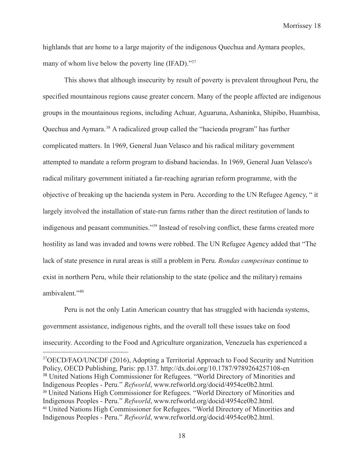highlands that are home to a large majority of the indigenous Quechua and Aymara peoples, many of whom live below the poverty line (IFAD)."<sup>37</sup>

This shows that although insecurity by result of poverty is prevalent throughout Peru, the specified mountainous regions cause greater concern. Many of the people affected are indigenous groups in the mountainous regions, including Achuar, Aguaruna, Ashaninka, Shipibo, Huambisa, Quechua and Aymara.38 A radicalized group called the "hacienda program" has further complicated matters. In 1969, General Juan Velasco and his radical military government attempted to mandate a reform program to disband haciendas. In 1969, General Juan Velasco's radical military government initiated a far-reaching agrarian reform programme, with the objective of breaking up the hacienda system in Peru. According to the UN Refugee Agency, " it largely involved the installation of state-run farms rather than the direct restitution of lands to indigenous and peasant communities."39 Instead of resolving conflict, these farms created more hostility as land was invaded and towns were robbed. The UN Refugee Agency added that "The lack of state presence in rural areas is still a problem in Peru. *Rondas campesinas* continue to exist in northern Peru, while their relationship to the state (police and the military) remains ambivalent."40

Peru is not the only Latin American country that has struggled with hacienda systems, government assistance, indigenous rights, and the overall toll these issues take on food insecurity. According to the Food and Agriculture organization, Venezuela has experienced a

<sup>40</sup> United Nations High Commissioner for Refugees. "World Directory of Minorities and Indigenous Peoples - Peru." *Refworld*, www.refworld.org/docid/4954ce0b2.html. <sup>39</sup> United Nations High Commissioner for Refugees. "World Directory of Minorities and Indigenous Peoples - Peru." *Refworld*, www.refworld.org/docid/4954ce0b2.html. <sup>38</sup> United Nations High Commissioner for Refugees. "World Directory of Minorities and Indigenous Peoples - Peru." *Refworld*, www.refworld.org/docid/4954ce0b2.html. <sup>37</sup>OECD/FAO/UNCDF (2016), Adopting a Territorial Approach to Food Security and Nutrition Policy, OECD Publishing, Paris: pp.137. http://dx.doi.org/10.1787/9789264257108-en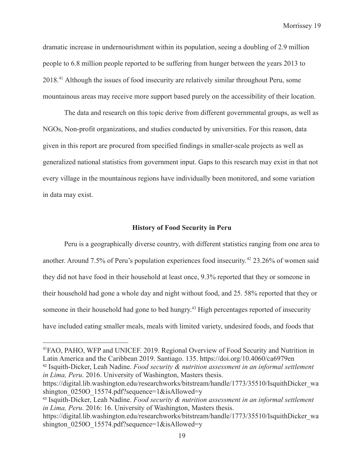dramatic increase in undernourishment within its population, seeing a doubling of 2.9 million people to 6.8 million people reported to be suffering from hunger between the years 2013 to 2018.41 Although the issues of food insecurity are relatively similar throughout Peru, some mountainous areas may receive more support based purely on the accessibility of their location.

The data and research on this topic derive from different governmental groups, as well as NGOs, Non-profit organizations, and studies conducted by universities. For this reason, data given in this report are procured from specified findings in smaller-scale projects as well as generalized national statistics from government input. Gaps to this research may exist in that not every village in the mountainous regions have individually been monitored, and some variation in data may exist.

#### **History of Food Security in Peru**

Peru is a geographically diverse country, with different statistics ranging from one area to another. Around 7.5% of Peru's population experiences food insecurity.<sup>42</sup> 23.26% of women said they did not have food in their household at least once, 9.3% reported that they or someone in their household had gone a whole day and night without food, and 25. 58% reported that they or someone in their household had gone to bed hungry.<sup>43</sup> High percentages reported of insecurity have included eating smaller meals, meals with limited variety, undesired foods, and foods that

<sup>42</sup> Isquith-Dicker, Leah Nadine. *Food security & nutrition assessment in an informal settlement in Lima, Peru*. 2016. University of Washington, Masters thesis. 41FAO, PAHO, WFP and UNICEF. 2019. Regional Overview of Food Security and Nutrition in Latin America and the Caribbean 2019. Santiago. 135. https://doi.org/10.4060/ca6979en

https://digital.lib.washington.edu/researchworks/bitstream/handle/1773/35510/IsquithDicker\_wa shington  $0250O$  15574.pdf?sequence=1&isAllowed=y

<sup>43</sup> Isquith-Dicker, Leah Nadine. *Food security & nutrition assessment in an informal settlement in Lima, Peru*. 2016: 16. University of Washington, Masters thesis.

https://digital.lib.washington.edu/researchworks/bitstream/handle/1773/35510/IsquithDicker\_wa shington 0250O\_15574.pdf?sequence=1&isAllowed=y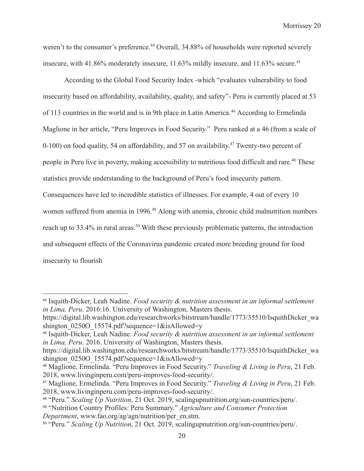weren't to the consumer's preference.<sup>44</sup> Overall, 34.88% of households were reported severely insecure, with 41.86% moderately insecure, 11.63% mildly insecure, and 11.63% secure.<sup>45</sup>

According to the Global Food Security Index -which "evaluates vulnerability to food insecurity based on affordability, availability, quality, and safety"- Peru is currently placed at 53 of 113 countries in the world and is in 9th place in Latin America.46 According to Ermelinda Maglione in her article, "Peru Improves in Food Security." Peru ranked at a 46 (from a scale of 0-100) on food quality, 54 on affordability, and 57 on availability.<sup>47</sup> Twenty-two percent of people in Peru live in poverty, making accessibility to nutritious food difficult and rare.<sup>48</sup> These statistics provide understanding to the background of Peru's food insecurity pattern. Consequences have led to incredible statistics of illnesses. For example, 4 out of every 10 women suffered from anemia in 1996.<sup>49</sup> Along with anemia, chronic child malnutrition numbers reach up to 33.4% in rural areas.<sup>50</sup> With these previously problematic patterns, the introduction and subsequent effects of the Coronavirus pandemic created more breeding ground for food insecurity to flourish

<sup>44</sup> Isquith-Dicker, Leah Nadine. *Food security & nutrition assessment in an informal settlement in Lima, Peru*. 2016:16. University of Washington, Masters thesis.

https://digital.lib.washington.edu/researchworks/bitstream/handle/1773/35510/IsquithDicker\_wa shington  $0250O$  15574.pdf?sequence=1&isAllowed=y

<sup>45</sup> Isquith-Dicker, Leah Nadine. *Food security & nutrition assessment in an informal settlement in Lima, Peru*. 2016. University of Washington, Masters thesis.

https://digital.lib.washington.edu/researchworks/bitstream/handle/1773/35510/IsquithDicker\_wa shington  $0250O$  15574.pdf?sequence=1&isAllowed=y

<sup>46</sup> Maglione, Ermelinda. "Peru Improves in Food Security." *Traveling & Living in Peru*, 21 Feb. 2018, www.livinginperu.com/peru-improves-food-security/.

<sup>47</sup> Maglione, Ermelinda. "Peru Improves in Food Security." *Traveling & Living in Peru*, 21 Feb. 2018, www.livinginperu.com/peru-improves-food-security/.

<sup>48</sup> "Peru." *Scaling Up Nutrition*, 21 Oct. 2019, scalingupnutrition.org/sun-countries/peru/.

<sup>49</sup> "Nutrition Country Profiles: Peru Summary." *Agriculture and Consumer Protection Department*, www.fao.org/ag/agn/nutrition/per\_en.stm.

<sup>50</sup> "Peru." *Scaling Up Nutrition*, 21 Oct. 2019, scalingupnutrition.org/sun-countries/peru/.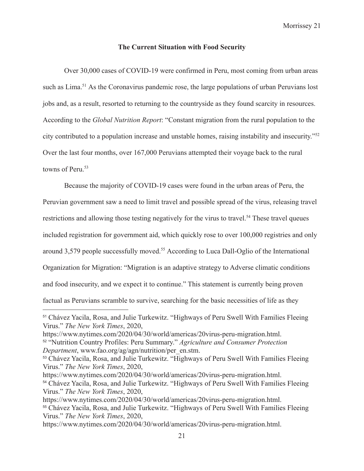#### **The Current Situation with Food Security**

Over 30,000 cases of COVID-19 were confirmed in Peru, most coming from urban areas such as Lima.<sup>51</sup> As the Coronavirus pandemic rose, the large populations of urban Peruvians lost jobs and, as a result, resorted to returning to the countryside as they found scarcity in resources. According to the *Global Nutrition Report*: "Constant migration from the rural population to the city contributed to a population increase and unstable homes, raising instability and insecurity."52 Over the last four months, over 167,000 Peruvians attempted their voyage back to the rural towns of Peru.<sup>53</sup>

Because the majority of COVID-19 cases were found in the urban areas of Peru, the

Peruvian government saw a need to limit travel and possible spread of the virus, releasing travel

restrictions and allowing those testing negatively for the virus to travel.<sup>54</sup> These travel queues

included registration for government aid, which quickly rose to over 100,000 registries and only

around 3,579 people successfully moved.55 According to Luca Dall-Oglio of the International

Organization for Migration: "Migration is an adaptive strategy to Adverse climatic conditions

and food insecurity, and we expect it to continue." This statement is currently being proven

factual as Peruvians scramble to survive, searching for the basic necessities of life as they

<sup>51</sup> Chávez Yacila, Rosa, and Julie Turkewitz. "Highways of Peru Swell With Families Fleeing Virus." *The New York Times*, 2020,

https://www.nytimes.com/2020/04/30/world/americas/20virus-peru-migration.html.

<sup>52</sup> "Nutrition Country Profiles: Peru Summary." *Agriculture and Consumer Protection Department*, www.fao.org/ag/agn/nutrition/per\_en.stm.

<sup>53</sup> Chávez Yacila, Rosa, and Julie Turkewitz. "Highways of Peru Swell With Families Fleeing Virus." *The New York Times*, 2020,

https://www.nytimes.com/2020/04/30/world/americas/20virus-peru-migration.html.

<sup>54</sup> Chávez Yacila, Rosa, and Julie Turkewitz. "Highways of Peru Swell With Families Fleeing Virus." *The New York Times*, 2020,

<sup>55</sup> Chávez Yacila, Rosa, and Julie Turkewitz. "Highways of Peru Swell With Families Fleeing Virus." *The New York Times*, 2020, https://www.nytimes.com/2020/04/30/world/americas/20virus-peru-migration.html.

https://www.nytimes.com/2020/04/30/world/americas/20virus-peru-migration.html.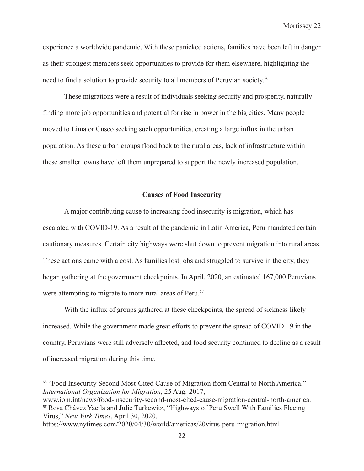experience a worldwide pandemic. With these panicked actions, families have been left in danger as their strongest members seek opportunities to provide for them elsewhere, highlighting the need to find a solution to provide security to all members of Peruvian society.56

These migrations were a result of individuals seeking security and prosperity, naturally finding more job opportunities and potential for rise in power in the big cities. Many people moved to Lima or Cusco seeking such opportunities, creating a large influx in the urban population. As these urban groups flood back to the rural areas, lack of infrastructure within these smaller towns have left them unprepared to support the newly increased population.

#### **Causes of Food Insecurity**

A major contributing cause to increasing food insecurity is migration, which has escalated with COVID-19. As a result of the pandemic in Latin America, Peru mandated certain cautionary measures. Certain city highways were shut down to prevent migration into rural areas. These actions came with a cost. As families lost jobs and struggled to survive in the city, they began gathering at the government checkpoints. In April, 2020, an estimated 167,000 Peruvians were attempting to migrate to more rural areas of Peru.<sup>57</sup>

With the influx of groups gathered at these checkpoints, the spread of sickness likely increased. While the government made great efforts to prevent the spread of COVID-19 in the country, Peruvians were still adversely affected, and food security continued to decline as a result of increased migration during this time.

<sup>56</sup> "Food Insecurity Second Most-Cited Cause of Migration from Central to North America." *International Organization for Migration*, 25 Aug. 2017,

<sup>57</sup> Rosa Chávez Yacila and Julie Turkewitz, "Highways of Peru Swell With Families Fleeing Virus," *New York Times*, April 30, 2020. www.iom.int/news/food-insecurity-second-most-cited-cause-migration-central-north-america.

https://www.nytimes.com/2020/04/30/world/americas/20virus-peru-migration.html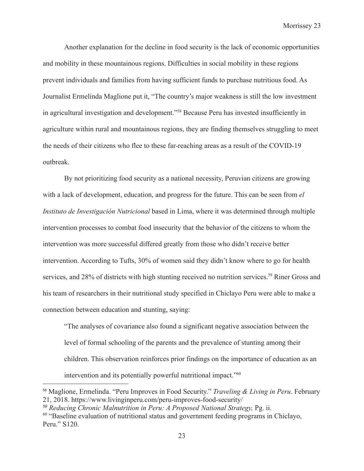Another explanation for the decline in food security is the lack of economic opportunities and mobility in these mountainous regions. Difficulties in social mobility in these regions prevent individuals and families from having sufficient funds to purchase nutritious food. As Journalist Ermelinda Maglione put it, "The country's major weakness is still the low investment in agricultural investigation and development."58 Because Peru has invested insufficiently in agriculture within rural and mountainous regions, they are finding themselves struggling to meet the needs of their citizens who flee to these far-reaching areas as a result of the COVID-19 outbreak.

By not prioritizing food security as a national necessity, Peruvian citizens are growing with a lack of development, education, and progress for the future. This can be seen from *el Instituto de Investigación Nutricional* based in Lima, where it was determined through multiple intervention processes to combat food insecurity that the behavior of the citizens to whom the intervention was more successful differed greatly from those who didn't receive better intervention. According to Tufts, 30% of women said they didn't know where to go for health services, and 28% of districts with high stunting received no nutrition services.<sup>59</sup> Riner Gross and his team of researchers in their nutritional study specified in Chiclayo Peru were able to make a connection between education and stunting, saying:

"The analyses of covariance also found a significant negative association between the level of formal schooling of the parents and the prevalence of stunting among their children. This observation reinforces prior findings on the importance of education as an intervention and its potentially powerful nutritional impact."60

<sup>58</sup> Maglione, Ermelinda. "Peru Improves in Food Security." *Traveling & Living in Peru*. February 21, 2018. https://www.livinginperu.com/peru-improves-food-security/

*<sup>59</sup> Reducing Chronic Malnutrition in Peru: A Proposed National Strategy,* Pg. ii.

<sup>60</sup> "Baseline evaluation of nutritional status and government feeding programs in Chiclayo, Peru." S120.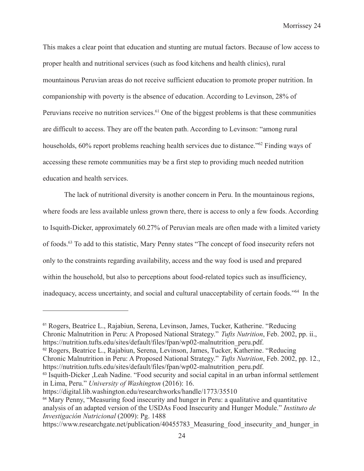This makes a clear point that education and stunting are mutual factors. Because of low access to proper health and nutritional services (such as food kitchens and health clinics), rural mountainous Peruvian areas do not receive sufficient education to promote proper nutrition. In companionship with poverty is the absence of education. According to Levinson, 28% of Peruvians receive no nutrition services.<sup>61</sup> One of the biggest problems is that these communities are difficult to access. They are off the beaten path. According to Levinson: "among rural households, 60% report problems reaching health services due to distance."<sup>62</sup> Finding ways of accessing these remote communities may be a first step to providing much needed nutrition education and health services.

The lack of nutritional diversity is another concern in Peru. In the mountainous regions, where foods are less available unless grown there, there is access to only a few foods. According to Isquith-Dicker, approximately 60.27% of Peruvian meals are often made with a limited variety of foods.63 To add to this statistic, Mary Penny states "The concept of food insecurity refers not only to the constraints regarding availability, access and the way food is used and prepared within the household, but also to perceptions about food-related topics such as insufficiency, inadequacy, access uncertainty, and social and cultural unacceptability of certain foods."64 In the

<sup>62</sup> Rogers, Beatrice L., Rajabiun, Serena, Levinson, James, Tucker, Katherine. "Reducing Chronic Malnutrition in Peru: A Proposed National Strategy." *Tufts Nutrition*, Feb. 2002, pp. 12., https://nutrition.tufts.edu/sites/default/files/fpan/wp02-malnutrition\_peru.pdf.

<sup>61</sup> Rogers, Beatrice L., Rajabiun, Serena, Levinson, James, Tucker, Katherine. "Reducing Chronic Malnutrition in Peru: A Proposed National Strategy." *Tufts Nutrition*, Feb. 2002, pp. ii., https://nutrition.tufts.edu/sites/default/files/fpan/wp02-malnutrition\_peru.pdf.

<sup>&</sup>lt;sup>63</sup> Isquith-Dicker , Leah Nadine. "Food security and social capital in an urban informal settlement in Lima, Peru." *University of Washington* (2016): 16.

https://digital.lib.washington.edu/researchworks/handle/1773/35510

<sup>64</sup> Mary Penny, "Measuring food insecurity and hunger in Peru: a qualitative and quantitative analysis of an adapted version of the USDAs Food Insecurity and Hunger Module." *Instituto de Investigación Nutricional* (2009): Pg. 1488

https://www.researchgate.net/publication/40455783\_Measuring\_food\_insecurity\_and\_hunger\_in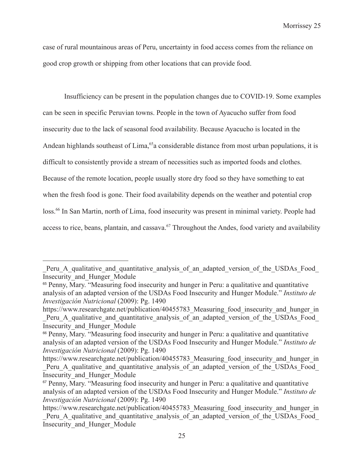case of rural mountainous areas of Peru, uncertainty in food access comes from the reliance on good crop growth or shipping from other locations that can provide food.

Insufficiency can be present in the population changes due to COVID-19. Some examples can be seen in specific Peruvian towns. People in the town of Ayacucho suffer from food insecurity due to the lack of seasonal food availability. Because Ayacucho is located in the Andean highlands southeast of Lima,<sup>65</sup>a considerable distance from most urban populations, it is difficult to consistently provide a stream of necessities such as imported foods and clothes. Because of the remote location, people usually store dry food so they have something to eat when the fresh food is gone. Their food availability depends on the weather and potential crop loss.<sup>66</sup> In San Martin, north of Lima, food insecurity was present in minimal variety. People had access to rice, beans, plantain, and cassava.<sup>67</sup> Throughout the Andes, food variety and availability

Peru A qualitative and quantitative analysis of an adapted version of the USDAs Food Insecurity\_and\_Hunger\_Module

<sup>&</sup>lt;sup>65</sup> Penny, Mary. "Measuring food insecurity and hunger in Peru: a qualitative and quantitative analysis of an adapted version of the USDAs Food Insecurity and Hunger Module." *Instituto de Investigación Nutricional* (2009): Pg. 1490

https://www.researchgate.net/publication/40455783 Measuring food insecurity and hunger in Peru A qualitative and quantitative analysis of an adapted version of the USDAs Food Insecurity\_and\_Hunger\_Module

<sup>66</sup> Penny, Mary. "Measuring food insecurity and hunger in Peru: a qualitative and quantitative analysis of an adapted version of the USDAs Food Insecurity and Hunger Module." *Instituto de Investigación Nutricional* (2009): Pg. 1490

https://www.researchgate.net/publication/40455783 Measuring food insecurity and hunger in Peru A qualitative and quantitative analysis of an adapted version of the USDAs Food Insecurity\_and\_Hunger\_Module

<sup>&</sup>lt;sup>67</sup> Penny, Mary. "Measuring food insecurity and hunger in Peru: a qualitative and quantitative analysis of an adapted version of the USDAs Food Insecurity and Hunger Module." *Instituto de Investigación Nutricional* (2009): Pg. 1490

https://www.researchgate.net/publication/40455783 Measuring food insecurity and hunger in Peru A qualitative and quantitative analysis of an adapted version of the USDAs Food Insecurity\_and\_Hunger\_Module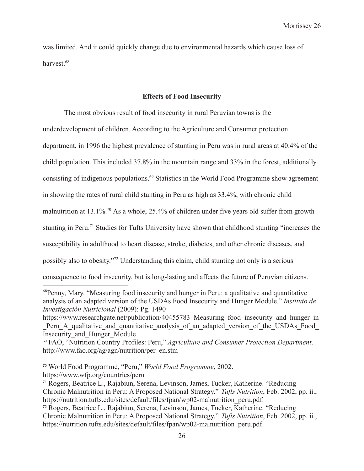was limited. And it could quickly change due to environmental hazards which cause loss of harvest.<sup>68</sup>

#### **Effects of Food Insecurity**

The most obvious result of food insecurity in rural Peruvian towns is the underdevelopment of children. According to the Agriculture and Consumer protection department, in 1996 the highest prevalence of stunting in Peru was in rural areas at 40.4% of the child population. This included 37.8% in the mountain range and 33% in the forest, additionally consisting of indigenous populations.<sup>69</sup> Statistics in the World Food Programme show agreement in showing the rates of rural child stunting in Peru as high as 33.4%, with chronic child malnutrition at 13.1%.70 As a whole, 25.4% of children under five years old suffer from growth stunting in Peru.<sup>71</sup> Studies for Tufts University have shown that childhood stunting "increases the susceptibility in adulthood to heart disease, stroke, diabetes, and other chronic diseases, and possibly also to obesity."72 Understanding this claim, child stunting not only is a serious consequence to food insecurity, but is long-lasting and affects the future of Peruvian citizens.

<sup>68</sup>Penny, Mary. "Measuring food insecurity and hunger in Peru: a qualitative and quantitative analysis of an adapted version of the USDAs Food Insecurity and Hunger Module." *Instituto de Investigación Nutricional* (2009): Pg. 1490

https://www.researchgate.net/publication/40455783 Measuring food insecurity and hunger in Peru A qualitative and quantitative analysis of an adapted version of the USDAs Food Insecurity\_and\_Hunger\_Module

<sup>69</sup> FAO, "Nutrition Country Profiles: Peru," *Agriculture and Consumer Protection Department*. http://www.fao.org/ag/agn/nutrition/per\_en.stm

<sup>70</sup> World Food Programme, "Peru," *World Food Programme*, 2002. https://www.wfp.org/countries/peru

<sup>71</sup> Rogers, Beatrice L., Rajabiun, Serena, Levinson, James, Tucker, Katherine. "Reducing Chronic Malnutrition in Peru: A Proposed National Strategy." *Tufts Nutrition*, Feb. 2002, pp. ii., https://nutrition.tufts.edu/sites/default/files/fpan/wp02-malnutrition\_peru.pdf.

<sup>72</sup> Rogers, Beatrice L., Rajabiun, Serena, Levinson, James, Tucker, Katherine. "Reducing Chronic Malnutrition in Peru: A Proposed National Strategy." *Tufts Nutrition*, Feb. 2002, pp. ii., https://nutrition.tufts.edu/sites/default/files/fpan/wp02-malnutrition\_peru.pdf.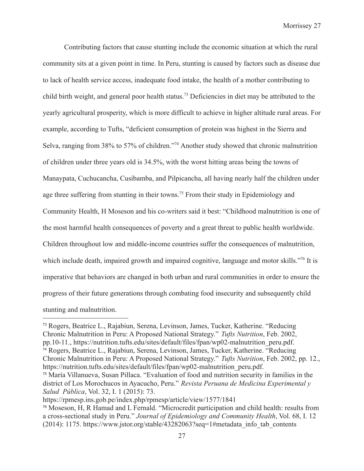Contributing factors that cause stunting include the economic situation at which the rural community sits at a given point in time. In Peru, stunting is caused by factors such as disease due to lack of health service access, inadequate food intake, the health of a mother contributing to child birth weight, and general poor health status.73 Deficiencies in diet may be attributed to the yearly agricultural prosperity, which is more difficult to achieve in higher altitude rural areas. For example, according to Tufts, "deficient consumption of protein was highest in the Sierra and Selva, ranging from 38% to 57% of children."74 Another study showed that chronic malnutrition of children under three years old is 34.5%, with the worst hitting areas being the towns of Manaypata, Cuchucancha, Cusibamba, and Pilpicancha, all having nearly half the children under age three suffering from stunting in their towns.<sup>75</sup> From their study in Epidemiology and Community Health, H Moseson and his co-writers said it best: "Childhood malnutrition is one of the most harmful health consequences of poverty and a great threat to public health worldwide. Children throughout low and middle-income countries suffer the consequences of malnutrition, which include death, impaired growth and impaired cognitive, language and motor skills."<sup>76</sup> It is imperative that behaviors are changed in both urban and rural communities in order to ensure the progress of their future generations through combating food insecurity and subsequently child stunting and malnutrition.

<sup>74</sup> Rogers, Beatrice L., Rajabiun, Serena, Levinson, James, Tucker, Katherine. "Reducing Chronic Malnutrition in Peru: A Proposed National Strategy." *Tufts Nutrition*, Feb. 2002, pp. 12., https://nutrition.tufts.edu/sites/default/files/fpan/wp02-malnutrition\_peru.pdf. <sup>73</sup> Rogers, Beatrice L., Rajabiun, Serena, Levinson, James, Tucker, Katherine. "Reducing Chronic Malnutrition in Peru: A Proposed National Strategy." *Tufts Nutrition*, Feb. 2002, pp.10-11., https://nutrition.tufts.edu/sites/default/files/fpan/wp02-malnutrition\_peru.pdf.

<sup>75</sup> María Villanueva, Susan Pillaca. "Evaluation of food and nutrition security in families in the district of Los Morochucos in Ayacucho, Peru." *Revista Peruana de Medicina Experimental y Salud Pública*, Vol. 32, I. 1 (2015): 73.

https://rpmesp.ins.gob.pe/index.php/rpmesp/article/view/1577/1841

<sup>76</sup> Moseson, H, R Hamad and L Fernald. "Microcredit participation and child health: results from a cross-sectional study in Peru." *Journal of Epidemiology and Community Health*, Vol. 68, I. 12 (2014): 1175. https://www.jstor.org/stable/43282063?seq=1#metadata\_info\_tab\_contents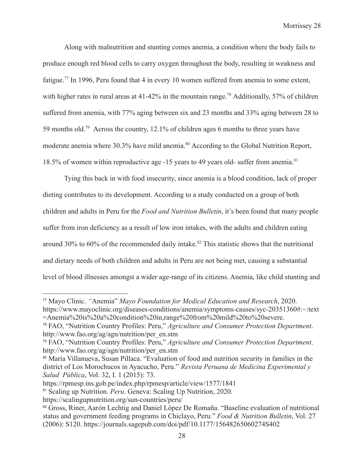Along with malnutrition and stunting comes anemia, a condition where the body fails to produce enough red blood cells to carry oxygen throughout the body, resulting in weakness and fatigue.<sup>77</sup> In 1996, Peru found that 4 in every 10 women suffered from anemia to some extent, with higher rates in rural areas at 41-42% in the mountain range.<sup>78</sup> Additionally, 57% of children suffered from anemia, with 77% aging between six and 23 months and 33% aging between 28 to 59 months old.79 Across the country, 12.1% of children ages 6 months to three years have moderate anemia where 30.3% have mild anemia.<sup>80</sup> According to the Global Nutrition Report, 18.5% of women within reproductive age -15 years to 49 years old- suffer from anemia.<sup>81</sup>

Tying this back in with food insecurity, since anemia is a blood condition, lack of proper dieting contributes to its development. According to a study conducted on a group of both children and adults in Peru for the *Food and Nutrition Bulletin*, it's been found that many people suffer from iron deficiency as a result of low iron intakes, with the adults and children eating around 30% to 60% of the recommended daily intake.<sup>82</sup> This statistic shows that the nutritional and dietary needs of both children and adults in Peru are not being met, causing a substantial level of blood illnesses amongst a wider age-range of its citizens. Anemia, like child stunting and

<sup>77</sup> Mayo Clinic. *"*Anemia" *Mayo Foundation for Medical Education and Research*, 2020. https://www.mayoclinic.org/diseases-conditions/anemia/symptoms-causes/syc-20351360#:~:text

<sup>=</sup>Anemia%20is%20a%20condition%20in,range%20from%20mild%20to%20severe.

<sup>78</sup> FAO, "Nutrition Country Profiles: Peru," *Agriculture and Consumer Protection Department*. http://www.fao.org/ag/agn/nutrition/per\_en.stm

<sup>79</sup> FAO, "Nutrition Country Profiles: Peru," *Agriculture and Consumer Protection Department*. http://www.fao.org/ag/agn/nutrition/per\_en.stm

<sup>80</sup> María Villanueva, Susan Pillaca. "Evaluation of food and nutrition security in families in the district of Los Morochucos in Ayacucho, Peru." *Revista Peruana de Medicina Experimental y Salud Pública*, Vol. 32, I. 1 (2015): 73.

https://rpmesp.ins.gob.pe/index.php/rpmesp/article/view/1577/1841

<sup>81</sup> Scaling up Nutrition. *Peru*. Geneva: Scaling Up Nutrition, 2020.

https://scalingupnutrition.org/sun-countries/peru/

<sup>&</sup>lt;sup>82</sup> Gross, Riner, Aarón Lechtig and Daniel López De Romaña. "Baseline evaluation of nutritional status and government feeding programs in Chiclayo, Peru." *Food & Nutrition Bulletin*, Vol. 27 (2006): S120. https://journals.sagepub.com/doi/pdf/10.1177/15648265060274S402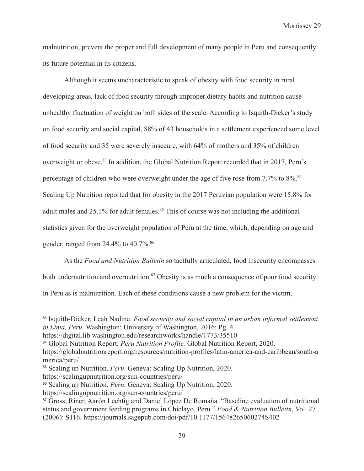malnutrition, prevent the proper and full development of many people in Peru and consequently its future potential in its citizens.

Although it seems uncharacteristic to speak of obesity with food security in rural developing areas, lack of food security through improper dietary habits and nutrition cause unhealthy fluctuation of weight on both sides of the scale. According to Isquith-Dicker's study on food security and social capital, 88% of 43 households in a settlement experienced some level of food security and 35 were severely insecure, with 64% of mothers and 35% of children overweight or obese.<sup>83</sup> In addition, the Global Nutrition Report recorded that in 2017, Peru's percentage of children who were overweight under the age of five rose from 7.7% to 8%.<sup>84</sup> Scaling Up Nutrition reported that for obesity in the 2017 Peruvian population were 15.8% for adult males and  $25.1\%$  for adult females.<sup>85</sup> This of course was not including the additional statistics given for the overweight population of Peru at the time, which, depending on age and gender, ranged from  $24.4\%$  to  $40.7\%$ .  $86$ 

As the *Food and Nutrition Bulletin* so tactfully articulated, food insecurity encompasses both undernutrition and overnutrition.<sup>87</sup> Obesity is as much a consequence of poor food security in Peru as is malnutrition. Each of these conditions cause a new problem for the victim,

<sup>83</sup> Isquith-Dicker, Leah Nadine. *Food security and social capital in an urban informal settlement in Lima, Peru.* Washington: University of Washington, 2016: Pg. 4.

https://digital.lib.washington.edu/researchworks/handle/1773/35510

<sup>84</sup> Global Nutrition Report. *Peru Nutrition Profile.* Global Nutrition Report, 2020.

https://globalnutritionreport.org/resources/nutrition-profiles/latin-america-and-caribbean/south-a merica/peru/

<sup>85</sup> Scaling up Nutrition. *Peru*. Geneva: Scaling Up Nutrition, 2020.

https://scalingupnutrition.org/sun-countries/peru/

<sup>86</sup> Scaling up Nutrition. *Peru*. Geneva: Scaling Up Nutrition, 2020.

https://scalingupnutrition.org/sun-countries/peru/

<sup>&</sup>lt;sup>87</sup> Gross, Riner, Aarón Lechtig and Daniel López De Romaña. "Baseline evaluation of nutritional status and government feeding programs in Chiclayo, Peru." *Food & Nutrition Bulletin*, Vol. 27 (2006): S116. https://journals.sagepub.com/doi/pdf/10.1177/15648265060274S402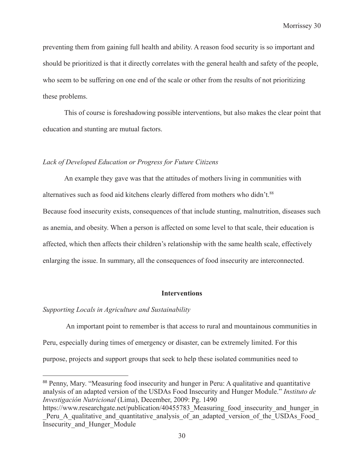preventing them from gaining full health and ability. A reason food security is so important and should be prioritized is that it directly correlates with the general health and safety of the people, who seem to be suffering on one end of the scale or other from the results of not prioritizing these problems.

This of course is foreshadowing possible interventions, but also makes the clear point that education and stunting are mutual factors.

#### *Lack of Developed Education or Progress for Future Citizens*

An example they gave was that the attitudes of mothers living in communities with alternatives such as food aid kitchens clearly differed from mothers who didn't.<sup>88</sup> Because food insecurity exists, consequences of that include stunting, malnutrition, diseases such as anemia, and obesity. When a person is affected on some level to that scale, their education is affected, which then affects their children's relationship with the same health scale, effectively enlarging the issue. In summary, all the consequences of food insecurity are interconnected.

#### **Interventions**

#### *Supporting Locals in Agriculture and Sustainability*

An important point to remember is that access to rural and mountainous communities in Peru, especially during times of emergency or disaster, can be extremely limited. For this purpose, projects and support groups that seek to help these isolated communities need to

<sup>&</sup>lt;sup>88</sup> Penny, Mary. "Measuring food insecurity and hunger in Peru: A qualitative and quantitative analysis of an adapted version of the USDAs Food Insecurity and Hunger Module." *Instituto de Investigación Nutricional* (Lima), December, 2009: Pg. 1490

https://www.researchgate.net/publication/40455783 Measuring food insecurity and hunger in Peru A qualitative and quantitative analysis of an adapted version of the USDAs Food Insecurity\_and\_Hunger\_Module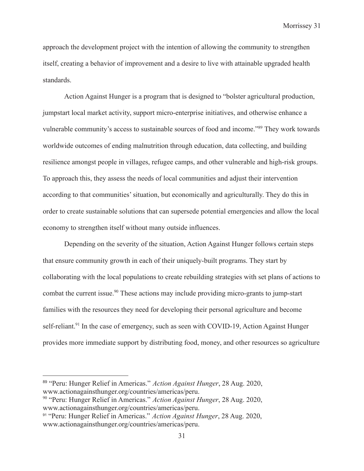approach the development project with the intention of allowing the community to strengthen itself, creating a behavior of improvement and a desire to live with attainable upgraded health standards.

Action Against Hunger is a program that is designed to "bolster agricultural production, jumpstart local market activity, support micro-enterprise initiatives, and otherwise enhance a vulnerable community's access to sustainable sources of food and income."89 They work towards worldwide outcomes of ending malnutrition through education, data collecting, and building resilience amongst people in villages, refugee camps, and other vulnerable and high-risk groups. To approach this, they assess the needs of local communities and adjust their intervention according to that communities' situation, but economically and agriculturally. They do this in order to create sustainable solutions that can supersede potential emergencies and allow the local economy to strengthen itself without many outside influences.

Depending on the severity of the situation, Action Against Hunger follows certain steps that ensure community growth in each of their uniquely-built programs. They start by collaborating with the local populations to create rebuilding strategies with set plans of actions to combat the current issue.<sup>90</sup> These actions may include providing micro-grants to jump-start families with the resources they need for developing their personal agriculture and become self-reliant.<sup>91</sup> In the case of emergency, such as seen with COVID-19, Action Against Hunger provides more immediate support by distributing food, money, and other resources so agriculture

<sup>89</sup> "Peru: Hunger Relief in Americas." *Action Against Hunger*, 28 Aug. 2020, www.actionagainsthunger.org/countries/americas/peru.

<sup>90</sup> "Peru: Hunger Relief in Americas." *Action Against Hunger*, 28 Aug. 2020, www.actionagainsthunger.org/countries/americas/peru.

<sup>91</sup> "Peru: Hunger Relief in Americas." *Action Against Hunger*, 28 Aug. 2020, www.actionagainsthunger.org/countries/americas/peru.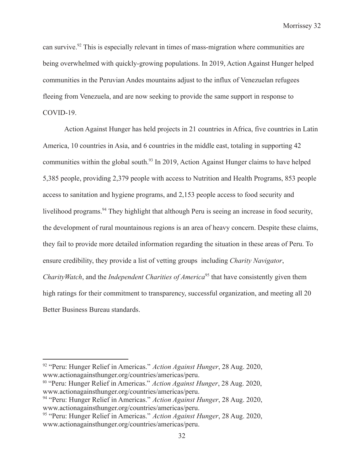can survive.<sup>92</sup> This is especially relevant in times of mass-migration where communities are being overwhelmed with quickly-growing populations. In 2019, Action Against Hunger helped communities in the Peruvian Andes mountains adjust to the influx of Venezuelan refugees fleeing from Venezuela, and are now seeking to provide the same support in response to COVID-19.

Action Against Hunger has held projects in 21 countries in Africa, five countries in Latin America, 10 countries in Asia, and 6 countries in the middle east, totaling in supporting 42 communities within the global south.<sup>93</sup> In 2019, Action Against Hunger claims to have helped 5,385 people, providing 2,379 people with access to Nutrition and Health Programs, 853 people access to sanitation and hygiene programs, and 2,153 people access to food security and livelihood programs.<sup>94</sup> They highlight that although Peru is seeing an increase in food security, the development of rural mountainous regions is an area of heavy concern. Despite these claims, they fail to provide more detailed information regarding the situation in these areas of Peru. To ensure credibility, they provide a list of vetting groups including *Charity Navigator*, *CharityWatch*, and the *Independent Charities of America*<sup>95</sup> that have consistently given them high ratings for their commitment to transparency, successful organization, and meeting all 20 Better Business Bureau standards.

<sup>92</sup> "Peru: Hunger Relief in Americas." *Action Against Hunger*, 28 Aug. 2020, www.actionagainsthunger.org/countries/americas/peru.

<sup>93</sup> "Peru: Hunger Relief in Americas." *Action Against Hunger*, 28 Aug. 2020, www.actionagainsthunger.org/countries/americas/peru.

<sup>94</sup> "Peru: Hunger Relief in Americas." *Action Against Hunger*, 28 Aug. 2020, www.actionagainsthunger.org/countries/americas/peru.

<sup>95</sup> "Peru: Hunger Relief in Americas." *Action Against Hunger*, 28 Aug. 2020, www.actionagainsthunger.org/countries/americas/peru.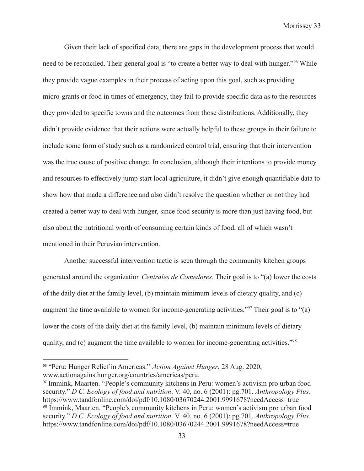Given their lack of specified data, there are gaps in the development process that would need to be reconciled. Their general goal is "to create a better way to deal with hunger."<sup>96</sup> While they provide vague examples in their process of acting upon this goal, such as providing micro-grants or food in times of emergency, they fail to provide specific data as to the resources they provided to specific towns and the outcomes from those distributions. Additionally, they didn't provide evidence that their actions were actually helpful to these groups in their failure to include some form of study such as a randomized control trial, ensuring that their intervention was the true cause of positive change. In conclusion, although their intentions to provide money and resources to effectively jump start local agriculture, it didn't give enough quantifiable data to show how that made a difference and also didn't resolve the question whether or not they had created a better way to deal with hunger, since food security is more than just having food, but also about the nutritional worth of consuming certain kinds of food, all of which wasn't mentioned in their Peruvian intervention.

Another successful intervention tactic is seen through the community kitchen groups generated around the organization *Centrales de Comedores*. Their goal is to "(a) lower the costs of the daily diet at the family level, (b) maintain minimum levels of dietary quality, and (c) augment the time available to women for income-generating activities."97 Their goal is to "(a) lower the costs of the daily diet at the family level, (b) maintain minimum levels of dietary quality, and (c) augment the time available to women for income-generating activities."<sup>98</sup>

<sup>96</sup> "Peru: Hunger Relief in Americas." *Action Against Hunger*, 28 Aug. 2020, www.actionagainsthunger.org/countries/americas/peru.

<sup>98</sup> Immink, Maarten. "People's community kitchens in Peru: women's activism pro urban food security." *D C. Ecology of food and nutrition*. V. 40, no. 6 (2001): pg.701. *Anthropology Plus.* https://www.tandfonline.com/doi/pdf/10.1080/03670244.2001.9991678?needAccess=true <sup>97</sup> Immink, Maarten. "People's community kitchens in Peru: women's activism pro urban food security." *D C. Ecology of food and nutrition*. V. 40, no. 6 (2001): pg.701. *Anthropology Plus.* https://www.tandfonline.com/doi/pdf/10.1080/03670244.2001.9991678?needAccess=true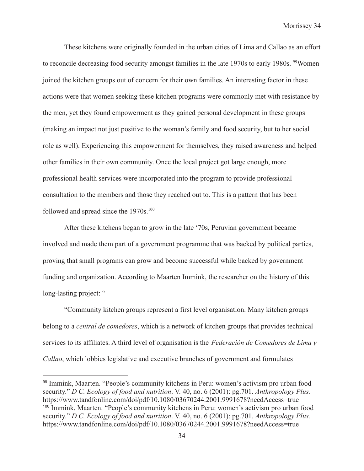These kitchens were originally founded in the urban cities of Lima and Callao as an effort to reconcile decreasing food security amongst families in the late 1970s to early 1980s. <sup>99</sup>Women joined the kitchen groups out of concern for their own families. An interesting factor in these actions were that women seeking these kitchen programs were commonly met with resistance by the men, yet they found empowerment as they gained personal development in these groups (making an impact not just positive to the woman's family and food security, but to her social role as well). Experiencing this empowerment for themselves, they raised awareness and helped other families in their own community. Once the local project got large enough, more professional health services were incorporated into the program to provide professional consultation to the members and those they reached out to. This is a pattern that has been followed and spread since the 1970s.<sup>100</sup>

After these kitchens began to grow in the late '70s, Peruvian government became involved and made them part of a government programme that was backed by political parties, proving that small programs can grow and become successful while backed by government funding and organization. According to Maarten Immink, the researcher on the history of this long-lasting project: "

"Community kitchen groups represent a first level organisation. Many kitchen groups belong to a *central de comedores*, which is a network of kitchen groups that provides technical services to its affiliates. A third level of organisation is the *Federación de Comedores de Lima y Callao*, which lobbies legislative and executive branches of government and formulates

<sup>100</sup> Immink, Maarten. "People's community kitchens in Peru: women's activism pro urban food security." *D C. Ecology of food and nutrition*. V. 40, no. 6 (2001): pg.701. *Anthropology Plus.* https://www.tandfonline.com/doi/pdf/10.1080/03670244.2001.9991678?needAccess=true <sup>99</sup> Immink, Maarten. "People's community kitchens in Peru: women's activism pro urban food security." *D C. Ecology of food and nutrition*. V. 40, no. 6 (2001): pg.701. *Anthropology Plus.* https://www.tandfonline.com/doi/pdf/10.1080/03670244.2001.9991678?needAccess=true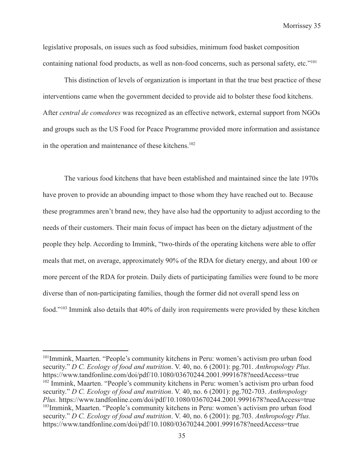legislative proposals, on issues such as food subsidies, minimum food basket composition containing national food products, as well as non-food concerns, such as personal safety, etc."<sup>101</sup>

This distinction of levels of organization is important in that the true best practice of these interventions came when the government decided to provide aid to bolster these food kitchens. After *central de comedores* was recognized as an effective network, external support from NGOs and groups such as the US Food for Peace Programme provided more information and assistance in the operation and maintenance of these kitchens.<sup>102</sup>

The various food kitchens that have been established and maintained since the late 1970s have proven to provide an abounding impact to those whom they have reached out to. Because these programmes aren't brand new, they have also had the opportunity to adjust according to the needs of their customers. Their main focus of impact has been on the dietary adjustment of the people they help. According to Immink, "two-thirds of the operating kitchens were able to offer meals that met, on average, approximately 90% of the RDA for dietary energy, and about 100 or more percent of the RDA for protein. Daily diets of participating families were found to be more diverse than of non-participating families, though the former did not overall spend less on food."103 Immink also details that 40% of daily iron requirements were provided by these kitchen

103Immink, Maarten. "People's community kitchens in Peru: women's activism pro urban food security." *D C. Ecology of food and nutrition*. V. 40, no. 6 (2001): pg.703. *Anthropology Plus.* https://www.tandfonline.com/doi/pdf/10.1080/03670244.2001.9991678?needAccess=true <sup>102</sup> Immink, Maarten. "People's community kitchens in Peru: women's activism pro urban food security." *D C. Ecology of food and nutrition*. V. 40, no. 6 (2001): pg.702-703. *Anthropology Plus.* https://www.tandfonline.com/doi/pdf/10.1080/03670244.2001.9991678?needAccess=true <sup>101</sup>Immink, Maarten. "People's community kitchens in Peru: women's activism pro urban food security." *D C. Ecology of food and nutrition*. V. 40, no. 6 (2001): pg.701. *Anthropology Plus.* https://www.tandfonline.com/doi/pdf/10.1080/03670244.2001.9991678?needAccess=true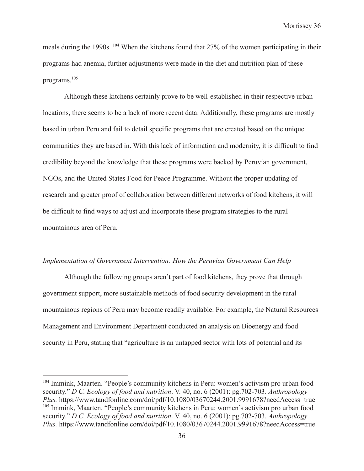meals during the 1990s. <sup>104</sup> When the kitchens found that 27% of the women participating in their programs had anemia, further adjustments were made in the diet and nutrition plan of these programs.105

Although these kitchens certainly prove to be well-established in their respective urban locations, there seems to be a lack of more recent data. Additionally, these programs are mostly based in urban Peru and fail to detail specific programs that are created based on the unique communities they are based in. With this lack of information and modernity, it is difficult to find credibility beyond the knowledge that these programs were backed by Peruvian government, NGOs, and the United States Food for Peace Programme. Without the proper updating of research and greater proof of collaboration between different networks of food kitchens, it will be difficult to find ways to adjust and incorporate these program strategies to the rural mountainous area of Peru.

#### *Implementation of Government Intervention: How the Peruvian Government Can Help*

Although the following groups aren't part of food kitchens, they prove that through government support, more sustainable methods of food security development in the rural mountainous regions of Peru may become readily available. For example, the Natural Resources Management and Environment Department conducted an analysis on Bioenergy and food security in Peru, stating that "agriculture is an untapped sector with lots of potential and its

<sup>105</sup> Immink, Maarten. "People's community kitchens in Peru: women's activism pro urban food security." *D C. Ecology of food and nutrition*. V. 40, no. 6 (2001): pg.702-703. *Anthropology Plus.* https://www.tandfonline.com/doi/pdf/10.1080/03670244.2001.9991678?needAccess=true <sup>104</sup> Immink, Maarten. "People's community kitchens in Peru: women's activism pro urban food security." *D C. Ecology of food and nutrition*. V. 40, no. 6 (2001): pg.702-703. *Anthropology Plus.* https://www.tandfonline.com/doi/pdf/10.1080/03670244.2001.9991678?needAccess=true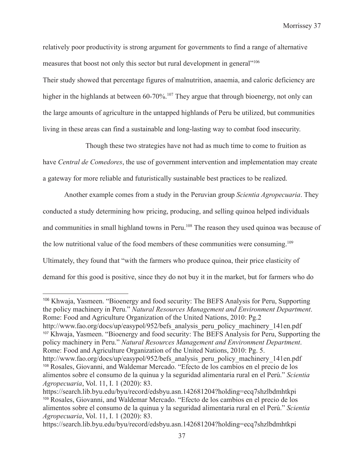relatively poor productivity is strong argument for governments to find a range of alternative measures that boost not only this sector but rural development in general<sup>1106</sup>

Their study showed that percentage figures of malnutrition, anaemia, and caloric deficiency are higher in the highlands at between 60-70%.<sup>107</sup> They argue that through bioenergy, not only can the large amounts of agriculture in the untapped highlands of Peru be utilized, but communities living in these areas can find a sustainable and long-lasting way to combat food insecurity.

Though these two strategies have not had as much time to come to fruition as

have *Central de Comedores*, the use of government intervention and implementation may create a gateway for more reliable and futuristically sustainable best practices to be realized.

Another example comes from a study in the Peruvian group *Scientia Agropecuaria*. They conducted a study determining how pricing, producing, and selling quinoa helped individuals and communities in small highland towns in Peru.<sup>108</sup> The reason they used quinoa was because of the low nutritional value of the food members of these communities were consuming.<sup>109</sup> Ultimately, they found that "with the farmers who produce quinoa, their price elasticity of demand for this good is positive, since they do not buy it in the market, but for farmers who do

<sup>106</sup> Khwaja, Yasmeen. "Bioenergy and food security: The BEFS Analysis for Peru, Supporting the policy machinery in Peru." *Natural Resources Management and Environment Department*. Rome: Food and Agriculture Organization of the United Nations, 2010: Pg.2

<sup>107</sup> Khwaja, Yasmeen. "Bioenergy and food security: The BEFS Analysis for Peru, Supporting the policy machinery in Peru." *Natural Resources Management and Environment Department*. Rome: Food and Agriculture Organization of the United Nations, 2010: Pg. 5. http://www.fao.org/docs/up/easypol/952/befs\_analysis\_peru\_policy\_machinery\_141en.pdf

<sup>108</sup> Rosales, Giovanni, and Waldemar Mercado. "Efecto de los cambios en el precio de los alimentos sobre el consumo de la quinua y la seguridad alimentaria rural en el Perú." *Scientia Agropecuaria*, Vol. 11, I. 1 (2020): 83. http://www.fao.org/docs/up/easypol/952/befs analysis peru policy machinery 141en.pdf

<sup>109</sup> Rosales, Giovanni, and Waldemar Mercado. "Efecto de los cambios en el precio de los alimentos sobre el consumo de la quinua y la seguridad alimentaria rural en el Perú." *Scientia Agropecuaria*, Vol. 11, I. 1 (2020): 83. https://search.lib.byu.edu/byu/record/edsbyu.asn.142681204?holding=ecq7shzlbdmhtkpi

https://search.lib.byu.edu/byu/record/edsbyu.asn.142681204?holding=ecq7shzlbdmhtkpi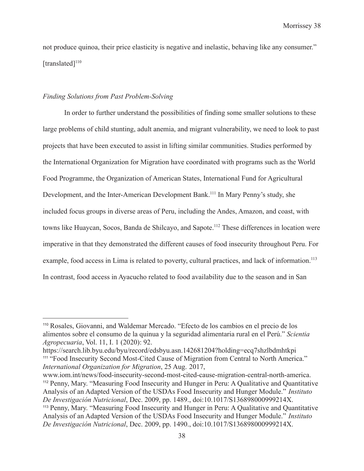not produce quinoa, their price elasticity is negative and inelastic, behaving like any consumer."  $[translated]$ <sup>110</sup>

#### *Finding Solutions from Past Problem-Solving*

In order to further understand the possibilities of finding some smaller solutions to these large problems of child stunting, adult anemia, and migrant vulnerability, we need to look to past projects that have been executed to assist in lifting similar communities. Studies performed by the International Organization for Migration have coordinated with programs such as the World Food Programme, the Organization of American States, International Fund for Agricultural Development, and the Inter-American Development Bank.<sup>111</sup> In Mary Penny's study, she included focus groups in diverse areas of Peru, including the Andes, Amazon, and coast, with towns like Huaycan, Socos, Banda de Shilcayo, and Sapote.<sup>112</sup> These differences in location were imperative in that they demonstrated the different causes of food insecurity throughout Peru. For example, food access in Lima is related to poverty, cultural practices, and lack of information.<sup>113</sup> In contrast, food access in Ayacucho related to food availability due to the season and in San

<sup>113</sup> Penny, Mary. "Measuring Food Insecurity and Hunger in Peru: A Qualitative and Quantitative Analysis of an Adapted Version of the USDAs Food Insecurity and Hunger Module." *Instituto De Investigación Nutricional*, Dec. 2009, pp. 1490., doi:10.1017/S136898000999214X. <sup>112</sup> Penny, Mary. "Measuring Food Insecurity and Hunger in Peru: A Qualitative and Quantitative Analysis of an Adapted Version of the USDAs Food Insecurity and Hunger Module." *Instituto De Investigación Nutricional*, Dec. 2009, pp. 1489., doi:10.1017/S136898000999214X. www.iom.int/news/food-insecurity-second-most-cited-cause-migration-central-north-america.

<sup>110</sup> Rosales, Giovanni, and Waldemar Mercado. "Efecto de los cambios en el precio de los alimentos sobre el consumo de la quinua y la seguridad alimentaria rural en el Perú." *Scientia Agropecuaria*, Vol. 11, I. 1 (2020): 92.

<sup>&</sup>lt;sup>111</sup> "Food Insecurity Second Most-Cited Cause of Migration from Central to North America." *International Organization for Migration*, 25 Aug. 2017, https://search.lib.byu.edu/byu/record/edsbyu.asn.142681204?holding=ecq7shzlbdmhtkpi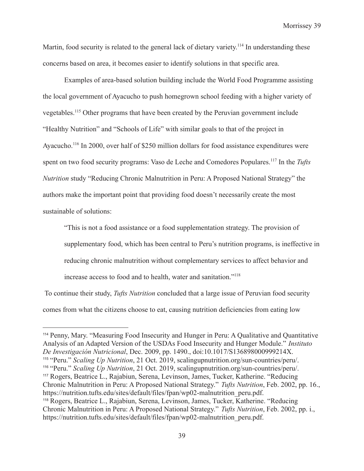Martin, food security is related to the general lack of dietary variety.<sup>114</sup> In understanding these concerns based on area, it becomes easier to identify solutions in that specific area.

Examples of area-based solution building include the World Food Programme assisting the local government of Ayacucho to push homegrown school feeding with a higher variety of vegetables.115 Other programs that have been created by the Peruvian government include "Healthy Nutrition" and "Schools of Life" with similar goals to that of the project in Ayacucho.<sup>116</sup> In 2000, over half of \$250 million dollars for food assistance expenditures were spent on two food security programs: Vaso de Leche and Comedores Populares.117 In the *Tufts Nutrition* study "Reducing Chronic Malnutrition in Peru: A Proposed National Strategy" the authors make the important point that providing food doesn't necessarily create the most sustainable of solutions:

"This is not a food assistance or a food supplementation strategy. The provision of supplementary food, which has been central to Peru's nutrition programs, is ineffective in reducing chronic malnutrition without complementary services to affect behavior and increase access to food and to health, water and sanitation."118

To continue their study, *Tufts Nutrition* concluded that a large issue of Peruvian food security comes from what the citizens choose to eat, causing nutrition deficiencies from eating low

<sup>118</sup> Rogers, Beatrice L., Rajabiun, Serena, Levinson, James, Tucker, Katherine. "Reducing Chronic Malnutrition in Peru: A Proposed National Strategy." *Tufts Nutrition*, Feb. 2002, pp. i., https://nutrition.tufts.edu/sites/default/files/fpan/wp02-malnutrition\_peru.pdf. <sup>117</sup> Rogers, Beatrice L., Rajabiun, Serena, Levinson, James, Tucker, Katherine. "Reducing Chronic Malnutrition in Peru: A Proposed National Strategy." *Tufts Nutrition*, Feb. 2002, pp. 16., https://nutrition.tufts.edu/sites/default/files/fpan/wp02-malnutrition\_peru.pdf. <sup>116</sup> "Peru." *Scaling Up Nutrition*, 21 Oct. 2019, scalingupnutrition.org/sun-countries/peru/. <sup>115</sup> "Peru." *Scaling Up Nutrition*, 21 Oct. 2019, scalingupnutrition.org/sun-countries/peru/. <sup>114</sup> Penny, Mary. "Measuring Food Insecurity and Hunger in Peru: A Qualitative and Quantitative Analysis of an Adapted Version of the USDAs Food Insecurity and Hunger Module." *Instituto De Investigación Nutricional*, Dec. 2009, pp. 1490., doi:10.1017/S136898000999214X.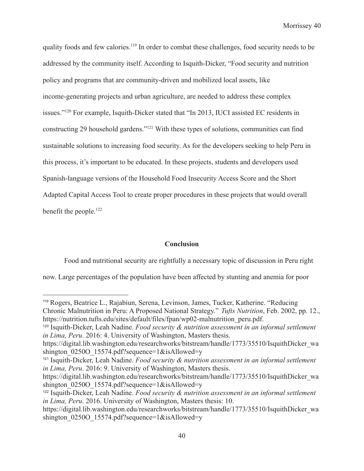quality foods and few calories.<sup>119</sup> In order to combat these challenges, food security needs to be addressed by the community itself. According to Isquith-Dicker, "Food security and nutrition policy and programs that are community-driven and mobilized local assets, like income-generating projects and urban agriculture, are needed to address these complex issues."120 For example, Isquith-Dicker stated that "In 2013, IUCI assisted EC residents in constructing 29 household gardens."121 With these types of solutions, communities can find sustainable solutions to increasing food security. As for the developers seeking to help Peru in this process, it's important to be educated. In these projects, students and developers used Spanish-language versions of the Household Food Insecurity Access Score and the Short Adapted Capital Access Tool to create proper procedures in these projects that would overall benefit the people.<sup>122</sup>

#### **Conclusion**

Food and nutritional security are rightfully a necessary topic of discussion in Peru right now. Large percentages of the population have been affected by stunting and anemia for poor

<sup>119</sup> Rogers, Beatrice L., Rajabiun, Serena, Levinson, James, Tucker, Katherine. "Reducing Chronic Malnutrition in Peru: A Proposed National Strategy." *Tufts Nutrition*, Feb. 2002, pp. 12., https://nutrition.tufts.edu/sites/default/files/fpan/wp02-malnutrition\_peru.pdf.

<sup>120</sup> Isquith-Dicker, Leah Nadine. *Food security & nutrition assessment in an informal settlement in Lima, Peru*. 2016: 4. University of Washington, Masters thesis.

https://digital.lib.washington.edu/researchworks/bitstream/handle/1773/35510/IsquithDicker\_wa shington 0250O 15574.pdf?sequence=1&isAllowed=y

<sup>121</sup> Isquith-Dicker, Leah Nadine. *Food security & nutrition assessment in an informal settlement in Lima, Peru*. 2016: 9. University of Washington, Masters thesis.

https://digital.lib.washington.edu/researchworks/bitstream/handle/1773/35510/IsquithDicker\_wa shington  $0250O$  15574.pdf?sequence=1&isAllowed=y

<sup>122</sup> Isquith-Dicker, Leah Nadine. *Food security & nutrition assessment in an informal settlement in Lima, Peru*. 2016. University of Washington, Masters thesis: 10.

https://digital.lib.washington.edu/researchworks/bitstream/handle/1773/35510/IsquithDicker\_wa shington\_0250O\_15574.pdf?sequence=1&isAllowed=y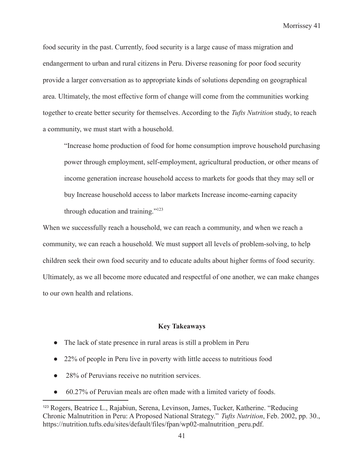food security in the past. Currently, food security is a large cause of mass migration and endangerment to urban and rural citizens in Peru. Diverse reasoning for poor food security provide a larger conversation as to appropriate kinds of solutions depending on geographical area. Ultimately, the most effective form of change will come from the communities working together to create better security for themselves. According to the *Tufts Nutrition* study, to reach a community, we must start with a household.

"Increase home production of food for home consumption improve household purchasing power through employment, self-employment, agricultural production, or other means of income generation increase household access to markets for goods that they may sell or buy Increase household access to labor markets Increase income-earning capacity through education and training."123

When we successfully reach a household, we can reach a community, and when we reach a community, we can reach a household. We must support all levels of problem-solving, to help children seek their own food security and to educate adults about higher forms of food security. Ultimately, as we all become more educated and respectful of one another, we can make changes to our own health and relations.

#### **Key Takeaways**

- The lack of state presence in rural areas is still a problem in Peru
- 22% of people in Peru live in poverty with little access to nutritious food
- 28% of Peruvians receive no nutrition services.
- 60.27% of Peruvian meals are often made with a limited variety of foods.

<sup>123</sup> Rogers, Beatrice L., Rajabiun, Serena, Levinson, James, Tucker, Katherine. "Reducing Chronic Malnutrition in Peru: A Proposed National Strategy." *Tufts Nutrition*, Feb. 2002, pp. 30., https://nutrition.tufts.edu/sites/default/files/fpan/wp02-malnutrition\_peru.pdf.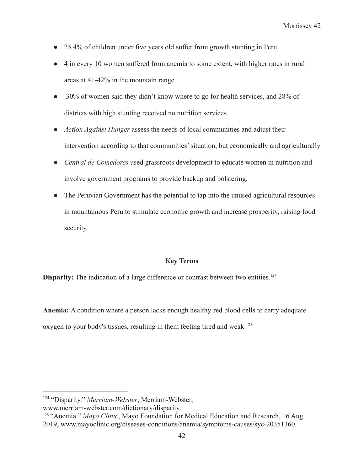- 25.4% of children under five years old suffer from growth stunting in Peru
- 4 in every 10 women suffered from anemia to some extent, with higher rates in rural areas at 41-42% in the mountain range.
- 30% of women said they didn't know where to go for health services, and 28% of districts with high stunting received no nutrition services.
- *Action Against Hunger* assess the needs of local communities and adjust their intervention according to that communities' situation, but economically and agriculturally
- *Central de Comedores* used grassroots development to educate women in nutrition and involve government programs to provide backup and bolstering.
- The Peruvian Government has the potential to tap into the unused agricultural resources in mountainous Peru to stimulate economic growth and increase prosperity, raising food security.

#### **Key Terms**

**Disparity:** The indication of a large difference or contrast between two entities.<sup>124</sup>

**Anemia:** A condition where a person lacks enough healthy red blood cells to carry adequate oxygen to your body's tissues, resulting in them feeling tired and weak.<sup>125</sup>

<sup>125</sup> "Anemia." *Mayo Clinic*, Mayo Foundation for Medical Education and Research, 16 Aug. 2019, www.mayoclinic.org/diseases-conditions/anemia/symptoms-causes/syc-20351360.

<sup>124</sup> "Disparity." *Merriam-Webster*, Merriam-Webster,

www.merriam-webster.com/dictionary/disparity.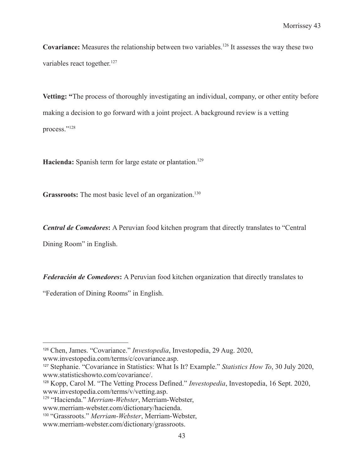**Covariance:** Measures the relationship between two variables.<sup>126</sup> It assesses the way these two variables react together.<sup>127</sup>

**Vetting: "**The process of thoroughly investigating an individual, company, or other entity before making a decision to go forward with a joint project. A background review is a vetting process."128

Hacienda: Spanish term for large estate or plantation.<sup>129</sup>

Grassroots: The most basic level of an organization.<sup>130</sup>

*Central de Comedores***:** A Peruvian food kitchen program that directly translates to "Central

Dining Room" in English.

*Federación de Comedores***:** A Peruvian food kitchen organization that directly translates to

"Federation of Dining Rooms" in English.

<sup>126</sup> Chen, James. "Covariance." *Investopedia*, Investopedia, 29 Aug. 2020, www.investopedia.com/terms/c/covariance.asp.

<sup>127</sup> Stephanie. "Covariance in Statistics: What Is It? Example." *Statistics How To*, 30 July 2020, www.statisticshowto.com/covariance/.

<sup>128</sup> Kopp, Carol M. "The Vetting Process Defined." *Investopedia*, Investopedia, 16 Sept. 2020, www.investopedia.com/terms/v/vetting.asp.

<sup>129</sup> "Hacienda." *Merriam-Webster*, Merriam-Webster,

www.merriam-webster.com/dictionary/hacienda.

<sup>130</sup> "Grassroots." *Merriam-Webster*, Merriam-Webster,

www.merriam-webster.com/dictionary/grassroots.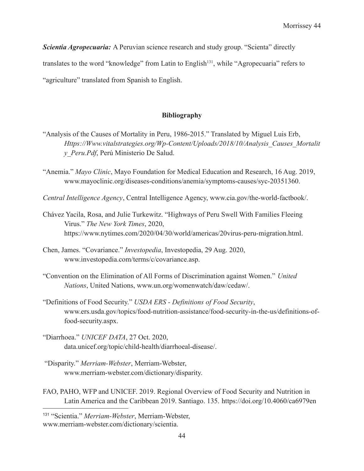*Scientia Agropecuaria:* A Peruvian science research and study group. "Scienta" directly translates to the word "knowledge" from Latin to English<sup>131</sup>, while "Agropecuaria" refers to "agriculture" translated from Spanish to English.

## **Bibliography**

- "Analysis of the Causes of Mortality in Peru, 1986-2015." Translated by Miguel Luis Erb, *Https://Www.vitalstrategies.org/Wp-Content/Uploads/2018/10/Analysis\_Causes\_Mortalit y\_Peru.Pdf*, Perú Ministerio De Salud.
- "Anemia." *Mayo Clinic*, Mayo Foundation for Medical Education and Research, 16 Aug. 2019, www.mayoclinic.org/diseases-conditions/anemia/symptoms-causes/syc-20351360.
- *Central Intelligence Agency*, Central Intelligence Agency, www.cia.gov/the-world-factbook/.
- Chávez Yacila, Rosa, and Julie Turkewitz. "Highways of Peru Swell With Families Fleeing Virus." *The New York Times*, 2020, https://www.nytimes.com/2020/04/30/world/americas/20virus-peru-migration.html.
- Chen, James. "Covariance." *Investopedia*, Investopedia, 29 Aug. 2020, www.investopedia.com/terms/c/covariance.asp.
- "Convention on the Elimination of All Forms of Discrimination against Women." *United Nations*, United Nations, www.un.org/womenwatch/daw/cedaw/.
- "Definitions of Food Security." *USDA ERS Definitions of Food Security*, www.ers.usda.gov/topics/food-nutrition-assistance/food-security-in-the-us/definitions-offood-security.aspx.
- "Diarrhoea." *UNICEF DATA*, 27 Oct. 2020, data.unicef.org/topic/child-health/diarrhoeal-disease/.
- "Disparity." *Merriam-Webster*, Merriam-Webster, www.merriam-webster.com/dictionary/disparity.
- FAO, PAHO, WFP and UNICEF. 2019. Regional Overview of Food Security and Nutrition in Latin America and the Caribbean 2019. Santiago. 135. https://doi.org/10.4060/ca6979en

<sup>131</sup> "Scientia." *Merriam-Webster*, Merriam-Webster, www.merriam-webster.com/dictionary/scientia.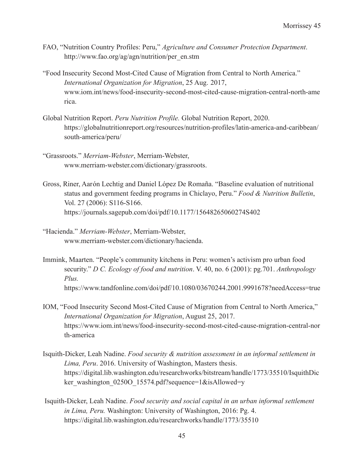- FAO, "Nutrition Country Profiles: Peru," *Agriculture and Consumer Protection Department*. http://www.fao.org/ag/agn/nutrition/per\_en.stm
- "Food Insecurity Second Most-Cited Cause of Migration from Central to North America." *International Organization for Migration*, 25 Aug. 2017, www.iom.int/news/food-insecurity-second-most-cited-cause-migration-central-north-ame rica.
- Global Nutrition Report. *Peru Nutrition Profile.* Global Nutrition Report, 2020. https://globalnutritionreport.org/resources/nutrition-profiles/latin-america-and-caribbean/ south-america/peru/
- "Grassroots." *Merriam-Webster*, Merriam-Webster, www.merriam-webster.com/dictionary/grassroots.
- Gross, Riner, Aarón Lechtig and Daniel López De Romaña. "Baseline evaluation of nutritional status and government feeding programs in Chiclayo, Peru." *Food & Nutrition Bulletin*, Vol. 27 (2006): S116-S166. https://journals.sagepub.com/doi/pdf/10.1177/15648265060274S402
- "Hacienda." *Merriam-Webster*, Merriam-Webster, www.merriam-webster.com/dictionary/hacienda.
- Immink, Maarten. "People's community kitchens in Peru: women's activism pro urban food security." *D C. Ecology of food and nutrition*. V. 40, no. 6 (2001): pg.701. *Anthropology Plus.* https://www.tandfonline.com/doi/pdf/10.1080/03670244.2001.9991678?needAccess=true
- IOM, "Food Insecurity Second Most-Cited Cause of Migration from Central to North America," *International Organization for Migration*, August 25, 2017. https://www.iom.int/news/food-insecurity-second-most-cited-cause-migration-central-nor th-america
- Isquith-Dicker, Leah Nadine. *Food security & nutrition assessment in an informal settlement in Lima, Peru*. 2016. University of Washington, Masters thesis. https://digital.lib.washington.edu/researchworks/bitstream/handle/1773/35510/IsquithDic ker\_washington\_0250O\_15574.pdf?sequence=1&isAllowed=y
- Isquith-Dicker, Leah Nadine. *Food security and social capital in an urban informal settlement in Lima, Peru.* Washington: University of Washington, 2016: Pg. 4. https://digital.lib.washington.edu/researchworks/handle/1773/35510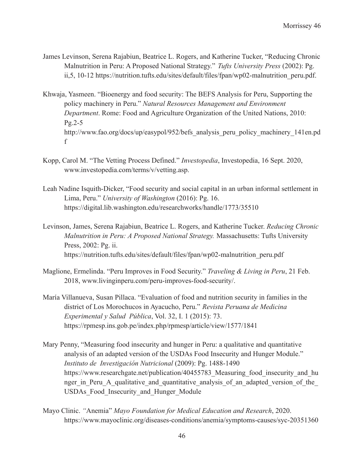- James Levinson, Serena Rajabiun, Beatrice L. Rogers, and Katherine Tucker, "Reducing Chronic Malnutrition in Peru: A Proposed National Strategy." *Tufts University Press* (2002): Pg. ii,5, 10-12 https://nutrition.tufts.edu/sites/default/files/fpan/wp02-malnutrition\_peru.pdf.
- Khwaja, Yasmeen. "Bioenergy and food security: The BEFS Analysis for Peru, Supporting the policy machinery in Peru." *Natural Resources Management and Environment Department*. Rome: Food and Agriculture Organization of the United Nations, 2010: Pg.2-5 http://www.fao.org/docs/up/easypol/952/befs\_analysis\_peru\_policy\_machinery\_141en.pd f
- Kopp, Carol M. "The Vetting Process Defined." *Investopedia*, Investopedia, 16 Sept. 2020, www.investopedia.com/terms/v/vetting.asp.
- Leah Nadine Isquith-Dicker, "Food security and social capital in an urban informal settlement in Lima, Peru." *University of Washington* (2016): Pg. 16. https://digital.lib.washington.edu/researchworks/handle/1773/35510
- Levinson, James, Serena Rajabiun, Beatrice L. Rogers, and Katherine Tucker. *Reducing Chronic Malnutrition in Peru: A Proposed National Strategy.* Massachusetts: Tufts University Press, 2002: Pg. ii. https://nutrition.tufts.edu/sites/default/files/fpan/wp02-malnutrition\_peru.pdf
- Maglione, Ermelinda. "Peru Improves in Food Security." *Traveling & Living in Peru*, 21 Feb. 2018, www.livinginperu.com/peru-improves-food-security/.
- María Villanueva, Susan Pillaca. "Evaluation of food and nutrition security in families in the district of Los Morochucos in Ayacucho, Peru." *Revista Peruana de Medicina Experimental y Salud Pública*, Vol. 32, I. 1 (2015): 73. https://rpmesp.ins.gob.pe/index.php/rpmesp/article/view/1577/1841
- Mary Penny, "Measuring food insecurity and hunger in Peru: a qualitative and quantitative analysis of an adapted version of the USDAs Food Insecurity and Hunger Module." *Instituto de Investigación Nutricional* (2009): Pg. 1488-1490 https://www.researchgate.net/publication/40455783 Measuring food insecurity and hu nger in Peru A qualitative and quantitative analysis of an adapted version of the USDAs Food Insecurity and Hunger Module
- Mayo Clinic. *"*Anemia" *Mayo Foundation for Medical Education and Research*, 2020. https://www.mayoclinic.org/diseases-conditions/anemia/symptoms-causes/syc-20351360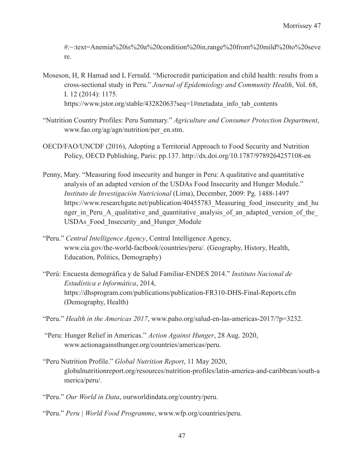#:~:text=Anemia%20is%20a%20condition%20in,range%20from%20mild%20to%20seve re.

- Moseson, H, R Hamad and L Fernald. "Microcredit participation and child health: results from a cross-sectional study in Peru." *Journal of Epidemiology and Community Health*, Vol. 68, I. 12 (2014): 1175. https://www.jstor.org/stable/43282063?seq=1#metadata\_info\_tab\_contents
- "Nutrition Country Profiles: Peru Summary." *Agriculture and Consumer Protection Department*, www.fao.org/ag/agn/nutrition/per\_en.stm.
- OECD/FAO/UNCDF (2016), Adopting a Territorial Approach to Food Security and Nutrition Policy, OECD Publishing, Paris: pp.137. http://dx.doi.org/10.1787/9789264257108-en
- Penny, Mary. "Measuring food insecurity and hunger in Peru: A qualitative and quantitative analysis of an adapted version of the USDAs Food Insecurity and Hunger Module." *Instituto de Investigación Nutricional* (Lima), December, 2009: Pg. 1488-1497 https://www.researchgate.net/publication/40455783 Measuring food insecurity and hu nger in Peru A qualitative and quantitative analysis of an adapted version of the USDAs Food Insecurity and Hunger Module
- "Peru." *Central Intelligence Agency*, Central Intelligence Agency, www.cia.gov/the-world-factbook/countries/peru/. (Geography, History, Health, Education, Politics, Demography)
- "Perú: Encuesta demográfica y de Salud Familiar-ENDES 2014." *Instituto Nacional de Estadística e Informática*, 2014, https://dhsprogram.com/publications/publication-FR310-DHS-Final-Reports.cfm (Demography, Health)
- "Peru." *Health in the Americas 2017*, www.paho.org/salud-en-las-americas-2017/?p=3232.
- "Peru: Hunger Relief in Americas." *Action Against Hunger*, 28 Aug. 2020, www.actionagainsthunger.org/countries/americas/peru.
- "Peru Nutrition Profile." *Global Nutrition Report*, 11 May 2020, globalnutritionreport.org/resources/nutrition-profiles/latin-america-and-caribbean/south-a merica/peru/.
- "Peru." *Our World in Data*, ourworldindata.org/country/peru.
- "Peru." *Peru | World Food Programme*, www.wfp.org/countries/peru.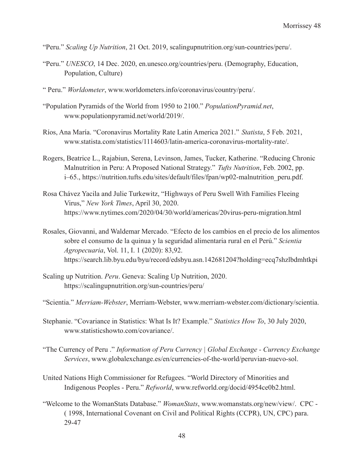- "Peru." *Scaling Up Nutrition*, 21 Oct. 2019, scalingupnutrition.org/sun-countries/peru/.
- "Peru." *UNESCO*, 14 Dec. 2020, en.unesco.org/countries/peru. (Demography, Education, Population, Culture)
- " Peru." *Worldometer*, www.worldometers.info/coronavirus/country/peru/.
- "Population Pyramids of the World from 1950 to 2100." *PopulationPyramid.net*, www.populationpyramid.net/world/2019/.
- Ríos, Ana María. "Coronavirus Mortality Rate Latin America 2021." *Statista*, 5 Feb. 2021, www.statista.com/statistics/1114603/latin-america-coronavirus-mortality-rate/.
- Rogers, Beatrice L., Rajabiun, Serena, Levinson, James, Tucker, Katherine. "Reducing Chronic Malnutrition in Peru: A Proposed National Strategy." *Tufts Nutrition*, Feb. 2002, pp. i–65., https://nutrition.tufts.edu/sites/default/files/fpan/wp02-malnutrition\_peru.pdf.
- Rosa Chávez Yacila and Julie Turkewitz, "Highways of Peru Swell With Families Fleeing Virus," *New York Times*, April 30, 2020. https://www.nytimes.com/2020/04/30/world/americas/20virus-peru-migration.html
- Rosales, Giovanni, and Waldemar Mercado. "Efecto de los cambios en el precio de los alimentos sobre el consumo de la quinua y la seguridad alimentaria rural en el Perú." *Scientia Agropecuaria*, Vol. 11, I. 1 (2020): 83,92. https://search.lib.byu.edu/byu/record/edsbyu.asn.142681204?holding=ecq7shzlbdmhtkpi
- Scaling up Nutrition. *Peru*. Geneva: Scaling Up Nutrition, 2020. https://scalingupnutrition.org/sun-countries/peru/
- "Scientia." *Merriam-Webster*, Merriam-Webster, www.merriam-webster.com/dictionary/scientia.
- Stephanie. "Covariance in Statistics: What Is It? Example." *Statistics How To*, 30 July 2020, www.statisticshowto.com/covariance/.
- "The Currency of Peru ." *Information of Peru Currency | Global Exchange Currency Exchange Services*, www.globalexchange.es/en/currencies-of-the-world/peruvian-nuevo-sol.
- United Nations High Commissioner for Refugees. "World Directory of Minorities and Indigenous Peoples - Peru." *Refworld*, www.refworld.org/docid/4954ce0b2.html.
- "Welcome to the WomanStats Database." *WomanStats*, www.womanstats.org/new/view/. CPC ( 1998, International Covenant on Civil and Political Rights (CCPR), UN, CPC) para. 29-47